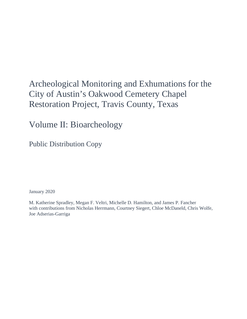# Archeological Monitoring and Exhumations for the City of Austin's Oakwood Cemetery Chapel Restoration Project, Travis County, Texas

Volume II: Bioarcheology

Public Distribution Copy

January 2020

M. Katherine Spradley, Megan F. Veltri, Michelle D. Hamilton, and James P. Fancher with contributions from Nicholas Herrmann, Courtney Siegert, Chloe McDaneld, Chris Wolfe, Joe Adserias-Garriga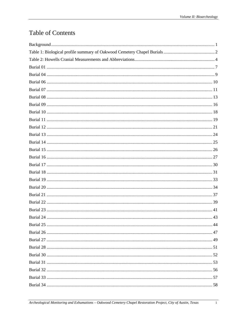# **Table of Contents**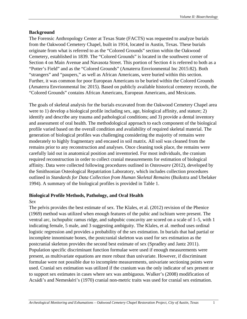#### <span id="page-3-0"></span>**Background**

The Forensic Anthropology Center at Texas State (FACTS) was requested to analyze burials from the Oakwood Cemetery Chapel, built in 1914, located in Austin, Texas. These burials originate from what is referred to as the "Colored Grounds" section within the Oakwood Cemetery, established in 1839. The "Colored Grounds" is located in the southwest corner of Section 4 on Main Avenue and Navasota Street. This portion of Section 4 is referred to both as a "Potter's Field" and as the "Colored Grounds" (Amaterra Envrionmental Inc 2015:82). Both "strangers" and "paupers," as well as African Americans, were buried within this section. Further, it was common for poor European Americans to be buried within the Colored Grounds (Amaterra Envrionmental Inc 2015). Based on publicly available historical cemetery records, the "Colored Grounds" contains African Americans, European Americans, and Mexicans.

The goals of skeletal analysis for the burials excavated from the Oakwood Cemetery Chapel area were to 1) develop a biological profile including sex, age, biological affinity, and stature; 2) identify and describe any trauma and pathological conditions; and 3) provide a dental inventory and assessment of oral health. The methodological approach to each component of the biological profile varied based on the overall condition and availability of required skeletal material. The generation of biological profiles was challenging considering the majority of remains were moderately to highly fragmentary and encased in soil matrix. All soil was cleaned from the remains prior to any reconstruction and analyses. Once cleaning took place, the remains were carefully laid out in anatomical position and inventoried. For most individuals, the cranium required reconstruction in order to collect cranial measurements for estimation of biological affinity. Data were collected following procedures outlined in *Osteoware* (2012), developed by the Smithsonian Osteological Repatriation Laboratory, which includes collection procedures outlined in *Standards for Data Collection from Human Skeletal Remains* (Buikstra and Ubelaker 1994). A summary of the biological profiles is provided in Table 1.

#### **Biological Profile Methods, Pathology, and Oral Health**

#### *Sex*

The pelvis provides the best estimate of sex. The Klales, et al. (2012) revision of the Phenice (1969) method was utilized when enough features of the pubic and ischium were present. The ventral arc, ischopubic ramus ridge, and subpubic concavity are scored on a scale of 1–5, with 1 indicating female, 5 male, and 3 suggesting ambiguity. The Klales, et al. method uses ordinal logistic regression and provides a probability of the sex estimation. In burials that had partial or incomplete innominate bones, the postcranial skeleton was used for sex estimation as the postcranial skeleton provides the second best estimate of sex (Spradley and Jantz 2011). Population specific discriminant function formulae were used if enough measurements were present, as multivariate equations are more robust than univariate. However, if discriminant formulae were not possible due to incomplete measurements, univariate sectioning points were used. Cranial sex estimation was utilized if the cranium was the only indicator of sex present or to support sex estimates in cases where sex was ambiguous. Walker's (2008) modification of Acsádi's and Nemeskéri's (1970) cranial non-metric traits was used for cranial sex estimation.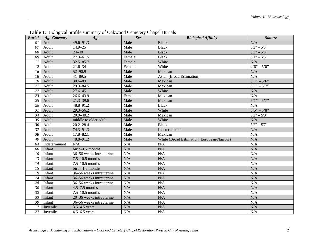<span id="page-4-0"></span>

| <b>Burial</b>   | <b>Age Category</b> | Age                      | <b>Sex</b> | <b>Biological Affinity</b>                | <b>Stature</b>  |
|-----------------|---------------------|--------------------------|------------|-------------------------------------------|-----------------|
| 01              | Adult               | 49.6-91.3                | Male       | <b>Black</b>                              | N/A             |
| 07              | Adult               | $14.9 - 25$              | Male       | <b>Black</b>                              | $5'3" - 5'8"$   |
| 08              | Adult               | $24 - 48$                | Male       | <b>Black</b>                              | $5'3'' - 5'8''$ |
| 09              | Adult               | $27.3 - 61.5$            | Female     | <b>Black</b>                              | $5'1" - 5'5"$   |
| 11              | Adult               | $32.5 - 85.7$            | Female     | White                                     | N/A             |
| 12              | Adult               | $21.6 - 34$              | Female     | White                                     | $4'6'' - 5'0''$ |
| 16              | Adult               | 52-90.9                  | Male       | Mexican                                   | $\rm N/A$       |
| 18              | Adult               | $41 - 89.5$              | Male       | Asian (Broad Estimation)                  | N/A             |
| 20              | Adult               | $30.6 - 89$              | Male       | Mexican                                   | $5'1'' - 5'6''$ |
| 21              | Adult               | $29.3 - 84.5$            | Male       | Mexican                                   | $5'1'' - 5'7''$ |
| $\overline{22}$ | Adult               | $27.6 - 45$              | Male       | White                                     | N/A             |
| 23              | Adult               | 26.6-43.9                | Female     | Mexican                                   | N/A             |
| 25              | Adult               | $21.3 - 39.6$            | Male       | Mexican                                   | $5'1'' - 5'7''$ |
| 26              | Adult               | 48.8-91.2                | Male       | <b>Black</b>                              | N/A             |
| 31              | Adult               | $29.3 - 56.2$            | Male       | White                                     | $5'5'' - 5'8''$ |
| 34              | Adult               | 20.9-48.2                | Male       | Mexican                                   | $5'2" - 5'8"$   |
| $\overline{35}$ | Adult               | middle to older adult    | Male       | White                                     | N/A             |
| 36              | Adult               | $20.2 - 28.4$            | Male       | <b>Black</b>                              | $5'2'' - 5'7''$ |
| $\overline{37}$ | Adult               | 74.3-91.3                | Male       | Indeterminant                             | N/A             |
| 38              | Adult               | 17.8-82.1                | Male       | Mexican                                   | N/A             |
| 40              | Adult               | 48.8-91.2                | Male       | White (Broad Estimation: European/Narrow) | N/A             |
| 04              | Indeterminant       | N/A                      | N/A        | N/A                                       | N/A             |
| 06              | Infant              | birth-1.7 months         | N/A        | N/A                                       | N/A             |
| 10              | Infant              | 36-56 weeks intrauterine | N/A        | N/A                                       | N/A             |
| 13              | Infant              | $7.5 - 10.5$ months      | N/A        | N/A                                       | N/A             |
| 14              | Infant              | $7.5 - 10.5$ months      | N/A        | N/A                                       | N/A             |
| 15              | Infant              | birth-1.5 months         | N/A        | N/A                                       | N/A             |
| 19              | Infant              | 36–56 weeks intrauterine | N/A        | N/A                                       | N/A             |
| 24              | Infant              | 36-56 weeks intrauterine | N/A        | N/A                                       | N/A             |
| 28              | Infant              | 36–56 weeks intrauterine | N/A        | N/A                                       | N/A             |
| 30              | Infant              | $4.5 - 7.5$ months       | N/A        | N/A                                       | N/A             |
| 32              | Infant              | $7.5 - 10.5$ months      | N/A        | N/A                                       | N/A             |
| 33              | Infant              | 20-36 weeks intrauterine | N/A        | N/A                                       | N/A             |
| 39              | Infant              | 36-56 weeks intrauterine | N/A        | N/A                                       | N/A             |
| 17              | Juvenile            | $3.5 - 4.5$ years        | N/A        | N/A                                       | N/A             |
| 27              | Juvenile            | $4.5 - 6.5$ years        | N/A        | N/A                                       | N/A             |

**Table 1:** Biological profile summary of Oakwood Cemetery Chapel Burials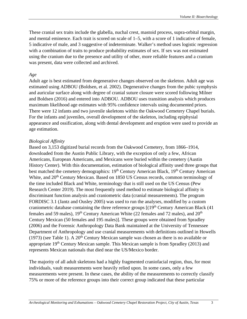These cranial sex traits include the glabella, nuchal crest, mastoid process, supra-orbital margin, and mental eminence. Each trait is scored on scale of 1–5, with a score of 1 indicative of female, 5 indicative of male, and 3 suggestive of indeterminate. Walker's method uses logistic regression with a combination of traits to produce probability estimates of sex. If sex was not estimated using the cranium due to the presence and utility of other, more reliable features and a cranium was present, data were collected and archived.

#### *Age*

Adult age is best estimated from degenerative changes observed on the skeleton. Adult age was estimated using ADBOU (Boldsen, et al. 2002). Degenerative changes from the pubic symphysis and auricular surface along with degree of cranial suture closure were scored following Milner and Boldsen (2016) and entered into ADBOU. ADBOU uses transition analysis which produces maximum likelihood age estimates with 95% confidence intervals using documented priors. There were 12 infants and two juvenile skeletons within the Oakwood Cemetery Chapel burials. For the infants and juveniles, overall development of the skeleton, including epiphysial appearance and ossification, along with dental development and eruption were used to provide an age estimation.

#### *Biological Affinity*

Based on 3,153 digitized burial records from the Oakwood Cemetery, from 1866–1914, downloaded from the Austin Public Library, with the exception of only a few, African Americans, European Americans, and Mexicans were buried within the cemetery (Austin History Center). With this documentation, estimation of biological affinity used three groups that best matched the cemetery demographics: 19<sup>th</sup> Century American Black, 19<sup>th</sup> Century American White, and 20<sup>th</sup> Century Mexican. Based on 1850 US Census records, common terminology of the time included Black and White, terminology that is still used on the US Census (Pew Research Center 2019). The most frequently used method to estimate biological affinity is discriminant function analysis and craniometric data (cranial measurements). The program FORDISC 3.1 (Jantz and Ousley 2005) was used to run the analyses, modified by a custom craniometric database containing the three reference groups  $[(19<sup>th</sup> Century American Black (41$ females and 59 males),  $19<sup>th</sup>$  Century American White (22 females and 72 males), and  $20<sup>th</sup>$ Century Mexican (50 females and 195 males)]. These groups were obtained from Spradley (2006) and the Forensic Anthropology Data Bank maintained at the University of Tennessee Department of Anthropology and use cranial measurements with definitions outlined in Howells (1973) (see Table 1). A  $20<sup>th</sup>$  Century Mexican sample was chosen as there is no available or appropriate  $19<sup>th</sup>$  Century Mexican sample. This Mexican sample is from Spradley (2013) and represents Mexican nationals that died near the US/Mexico border.

The majority of all adult skeletons had a highly fragmented craniofacial region, thus, for most individuals, vault measurements were heavily relied upon. In some cases, only a few measurements were present. In these cases, the ability of the measurements to correctly classify 75% or more of the reference groups into their correct group indicated that these particular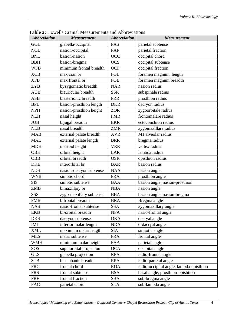| <b>Abbreviation</b> | <b>Measurement</b>      | <b>Abbreviation</b> | <b>Measurement</b>                      |  |
|---------------------|-------------------------|---------------------|-----------------------------------------|--|
| GOL                 | glabella-occipital      | PAS                 | parietal subtense                       |  |
| <b>NOL</b>          | nasion-occipital        | PAF                 | parietal fraction                       |  |
| <b>BNL</b>          | basion-nasion           | OCC                 | occipital chord                         |  |
| <b>BBH</b>          | basion-bregma           | <b>OCS</b>          | occipital subtense                      |  |
| <b>WFB</b>          | minimum frontal breadth | <b>OCF</b>          | occipital fraction                      |  |
| <b>XCB</b>          | max cran br             | <b>FOL</b>          | foramen magnum length                   |  |
| <b>XFB</b>          | max frontal br          | <b>FOB</b>          | foramen magnum breadth                  |  |
| <b>ZYB</b>          | byzygomatic breadth     | <b>NAR</b>          | nasion radius                           |  |
| <b>AUB</b>          | biauricular breadth     | <b>SSR</b>          | subspinale radius                       |  |
| <b>ASB</b>          | biasterionic breadth    | <b>PRR</b>          | prosthion radius                        |  |
| <b>BPL</b>          | basion-prosthion length | <b>DKR</b>          | dacryon radius                          |  |
| <b>NPH</b>          | nasion-prosthion height | <b>ZOR</b>          | zygoorbitale radius                     |  |
| <b>NLH</b>          | nasal height            | <b>FMR</b>          | frontomalare radius                     |  |
| <b>JUB</b>          | bijugal breadth         | <b>EKR</b>          | ectoconchion radius                     |  |
| <b>NLB</b>          | nasal breadth           | <b>ZMR</b>          | zygomaxillare radius                    |  |
| <b>MAB</b>          | external palate breadth | <b>AVR</b>          | M1 alveolar radius                      |  |
| <b>MAL</b>          | external palate length  | <b>BRR</b>          | bregma radius                           |  |
| <b>MDH</b>          | mastoid height          | <b>VRR</b>          | vertex radius                           |  |
| <b>OBH</b>          | orbital height          | <b>LAR</b>          | lambda radius                           |  |
| <b>OBB</b>          | orbital breadth         | <b>OSR</b>          | opisthion radius                        |  |
| <b>DKB</b>          | interorbital br         | <b>BAR</b>          | basion radius                           |  |
| <b>NDS</b>          | nasion-dacryon subtense | <b>NAA</b>          | nasion angle                            |  |
| <b>WNB</b>          | simotic chord           | <b>PRA</b>          | prosthion angle                         |  |
| <b>SIS</b>          | simotic subtense        | <b>BAA</b>          | basion angle, nasion-prosthion          |  |
| <b>ZMB</b>          | bimaxillary br          | <b>NBA</b>          | nasion angle                            |  |
| SSS                 | zygo-maxillary subtense | <b>BBA</b>          | basion angle, nasion-bregma             |  |
| <b>FMB</b>          | bifrontal breadth       | <b>BRA</b>          | Bregma angle                            |  |
| <b>NAS</b>          | nasio-frontal subtense  | <b>SSA</b>          | zygomaxillary angle                     |  |
| <b>EKB</b>          | bi-orbital breadth      | <b>NFA</b>          | nasio-frontal angle                     |  |
| <b>DKS</b>          | dacryon subtense        | <b>DKA</b>          | dacryal angle                           |  |
| <b>IML</b>          | inferior malar length   | <b>NDA</b>          | o-dacryal angle                         |  |
| <b>XML</b>          | maximum malar length    | <b>SIA</b>          | simiotic angle                          |  |
| <b>MLS</b>          | malar subtense          | <b>FRA</b>          | frontal angle                           |  |
| <b>WMH</b>          | minimum malar height    | PAA                 | parietal angle                          |  |
| SOS                 | supraorbital projection | <b>OCA</b>          | occipital angle                         |  |
| <b>GLS</b>          | glabella projection     | <b>RFA</b>          | radio-frontal angle                     |  |
| <b>STB</b>          | bistephanic breadth     | <b>RPA</b>          | radio-parietal angle                    |  |
| <b>FRC</b>          | frontal chord           | <b>ROA</b>          | radio-occipital angle, lambda-opisthion |  |
| <b>FRS</b>          | frontal subtense        | <b>BSA</b>          | basal angle, prosthion-opishtion        |  |
| FRF                 | frontal fraction        | <b>SBA</b>          | sub-bregma angle                        |  |
| PAC                 | parietal chord          | <b>SLA</b>          | sub-lambda angle                        |  |

<span id="page-6-0"></span>**Table 2:** Howells Cranial Measurements and Abbreviations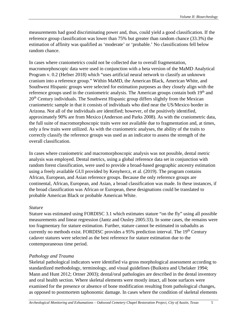measurements had good discriminating power and, thus, could yield a good classification. If the reference group classification was lower than 75% but greater than random chance (33.3%) the estimation of affinity was qualified as 'moderate' or 'probable.' No classifications fell below random chance.

In cases where craniometrics could not be collected due to overall fragmentation, macromorphoscopic data were used in conjunction with a beta version of the MaMD Analytical Program v. 0.2 (Hefner 2018) which "uses artificial neural network to classify an unknown cranium into a reference group." Within MaMD, the American Black, American White, and Southwest Hispanic groups were selected for estimation purposes as they closely align with the reference groups used in the craniometric analysis. The American groups contain both  $19<sup>th</sup>$  and  $20<sup>th</sup>$  Century individuals. The Southwest Hispanic group differs slightly from the Mexican craniometric sample in that it consists of individuals who died near the US/Mexico border in Arizona. Not all of the individuals are identified; however, of the positively identified, approximately 90% are from Mexico (Anderson and Parks 2008). As with the craniometric data, the full suite of macromorphoscopic traits were not available due to fragmentation and, at times, only a few traits were utilized. As with the craniometric analyses, the ability of the traits to correctly classify the reference groups was used as an indicator to assess the strength of the overall classification.

In cases where craniometric and macromorphoscopic analysis was not possible, dental metric analysis was employed. Dental metrics, using a global reference data set in conjunction with random forest classification, were used to provide a broad-based geographic ancestry estimation using a freely available GUI provided by Kenyhercz, et al. (2019). The program contains African, European, and Asian reference groups. Because the only reference groups are continental, African, European, and Asian, a broad classification was made. In these instances, if the broad classification was African or European, these designations could be translated to probable American Black or probable American White.

#### *Stature*

Stature was estimated using FORDISC 3.1 which estimates stature "on the fly" using all possible measurements and linear regression (Jantz and Ousley 2005:33). In some cases, the remains were too fragmentary for stature estimation. Further, stature cannot be estimated in subadults as currently no methods exist. FORDISC provides a 95% prediction interval. The 19<sup>th</sup> Century cadaver statures were selected as the best reference for stature estimation due to the contemporaneous time period.

#### *Pathology and Trauma*

Skeletal pathological indicators were identified via gross morphological assessment according to standardized methodology, terminology, and visual guidelines (Buikstra and Ubelaker 1994; Mann and Hunt 2012; Ortner 2003); dental/oral pathologies are described in the dental inventory and oral health section. Where skeletal elements were mostly intact, all bone surfaces were examined for the presence or absence of bone modification resulting from pathological changes, as opposed to postmortem taphonomic damage. In cases where the condition of skeletal elements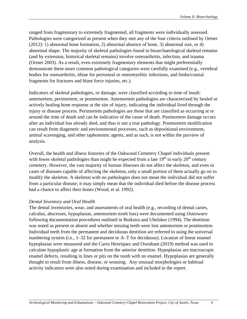ranged from fragmentary to extremely fragmented, all fragments were individually assessed. Pathologies were categorized as present when they met any of the four criteria outlined by Ortner (2012): 1) abnormal bone formation, 2) abnormal absence of bone, 3) abnormal size, or 4) abnormal shape. The majority of skeletal pathologies found in bioarchaeological skeletal remains (and by extension, historical skeletal remains) involve osteoarthritis, infection, and trauma (Ortner 2003). As a result, even extremely fragmentary elements that might preferentially demonstrate these more common pathological categories were carefully examined (e.g., vertebral bodies for osteoarthritis, tibiae for periosteal or osteomyelitic infections, and limbs/cranial fragments for fractures and blunt force injuries, etc.).

Indicators of skeletal pathologies, or damage, were classified according to time of insult: antemortem, perimortem, or postmortem. Antemortem pathologies are characterized by healed or actively healing bone response at the site of injury, indicating the individual lived through the injury or disease process. Perimortem pathologies are those that are classified as occurring at or around the time of death and can be indicative of the cause of death. Postmortem damage occurs after an individual has already died, and thus is not a true pathology. Postmortem modification can result from diagenetic and environmental processes, such as depositional environment, animal scavenging, and other taphonomic agents, and as such, is not within the purview of analysis.

Overall, the health and illness histories of the Oakwood Cemetery Chapel individuals present with fewer skeletal pathologies than might be expected from a late  $19<sup>th</sup>$  to early  $20<sup>th</sup>$  century cemetery. However, the vast majority of human illnesses do not affect the skeleton, and even in cases of diseases capable of affecting the skeleton, only a small portion of them actually go on to modify the skeleton. A skeleton with no pathologies does not mean the individual did not suffer from a particular disease; it may simply mean that the individual died before the disease process had a chance to affect their bones (Wood, et al. 1992).

#### *Dental Inventory and Oral Health*

<span id="page-8-0"></span>The dental inventories, wear, and assessments of oral health (e.g., recording of dental caries, calculus, abscesses, hypoplasias, antemortem tooth loss) were documented using *Osteoware* following documentation procedures outlined in Buikstra and Ubelaker (1994). The dentition was noted as present or absent and whether missing teeth were lost antemortem or postmortem. Individual teeth from the permanent and deciduous dentition are referred to using the universal numbering system (i.e., 1–32 for permanent or A–T for deciduous). Location of linear enamel hypoplasias were measured and the Cares Henriquez and Oxenham (2019) method was used to calculate hypoplastic age at formation from the anterior dentition. Hypoplasias are macroscopic enamel defects, resulting in lines or pits on the tooth with no enamel. Hypoplasias are generally thought to result from illness, disease, or weaning. Any unusual morphologies or habitual activity indicators were also noted during examination and included in the report.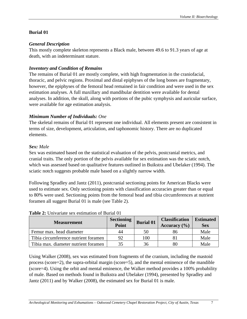## **Burial 01**

## *General Description*

This mostly complete skeleton represents a Black male, between 49.6 to 91.3 years of age at death, with an indeterminant stature.

## *Inventory and Condition of Remains*

The remains of Burial 01 are mostly complete, with high fragmentation in the craniofacial, thoracic, and pelvic regions. Proximal and distal epiphyses of the long bones are fragmentary, however, the epiphyses of the femoral head remained in fair condition and were used in the sex estimation analyses. A full maxillary and mandibular dentition were available for dental analyses. In addition, the skull, along with portions of the pubic symphysis and auricular surface, were available for age estimation analysis.

# *Minimum Number of Individuals: One*

The skeletal remains of Burial 01 represent one individual. All elements present are consistent in terms of size, development, articulation, and taphonomic history. There are no duplicated elements.

## *Sex: Male*

Sex was estimated based on the statistical evaluation of the pelvis, postcranial metrics, and cranial traits. The only portion of the pelvis available for sex estimation was the sciatic notch, which was assessed based on qualitative features outlined in Buikstra and Ubelaker (1994). The sciatic notch suggests probable male based on a slightly narrow width.

Following Spradley and Jantz (2011), postcranial sectioning points for American Blacks were used to estimate sex. Only sectioning points with classification accuracies greater than or equal to 80% were used. Sectioning points from the femoral head and tibia circumferences at nutrient foramen all suggest Burial 01 is male (see Table 2).

| <b>Measurement</b>                   | <b>Sectioning</b><br>Point | <b>Burial 01</b> | <b>Classification</b><br>Accuracy $(\% )$ | <b>Estimated</b><br><b>Sex</b> |
|--------------------------------------|----------------------------|------------------|-------------------------------------------|--------------------------------|
| Femur max. head diameter             | 44                         | 50               | 86                                        | Male                           |
| Tibia circumference nutrient foramen | 92                         | 100              |                                           | Male                           |
| Tibia max. diameter nutrient foramen | 35                         | 36               | 80                                        | Male                           |

#### **Table 2:** Univariate sex estimation of Burial 01

Using Walker (2008), sex was estimated from fragments of the cranium, including the mastoid process (score=2), the supra-orbital margin (score=5), and the mental eminence of the mandible (score=4). Using the orbit and mental eminence, the Walker method provides a 100% probability of male. Based on methods found in Buikstra and Ubelaker (1994), presented by Spradley and Jantz (2011) and by Walker (2008), the estimated sex for Burial 01 is male.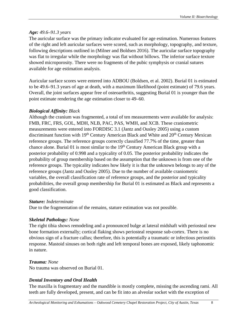## *Age: 49.6–91.3 years*

The auricular surface was the primary indicator evaluated for age estimation. Numerous features of the right and left auricular surfaces were scored, such as morphology, topography, and texture, following descriptions outlined in (Milner and Boldsen 2016). The auricular surface topography was flat to irregular while the morphology was flat without billows. The inferior surface texture showed microporosity. There were no fragments of the pubic symphysis or cranial sutures available for age estimation analysis.

Auricular surface scores were entered into ADBOU (Boldsen, et al. 2002). Burial 01 is estimated to be 49.6–91.3 years of age at death, with a maximum likelihood (point estimate) of 79.6 years. Overall, the joint surfaces appear free of osteoarthritis, suggesting Burial 01 is younger than the point estimate rendering the age estimation closer to 49–60.

# *Biological Affinity: Black*

Although the cranium was fragmented, a total of ten measurements were available for analysis: FMB, FRC, FRS, GOL, MDH, NLB, PAC, PAS, WMH, and XCB. These craniometric measurements were entered into FORDISC 3.1 (Jantz and Ousley 2005) using a custom discriminant function with 19<sup>th</sup> Century American Black and White and 20<sup>th</sup> Century Mexican reference groups. The reference groups correctly classified 77.7% of the time, greater than chance alone. Burial 01 is most similar to the  $19<sup>th</sup>$  Century American Black group with a posterior probability of 0.998 and a typicality of 0.05. The posterior probability indicates the probability of group membership based on the assumption that the unknown is from one of the reference groups. The typicality indicates how likely it is that the unknown belongs to any of the reference groups (Jantz and Ousley 2005). Due to the number of available craniometric variables, the overall classification rate of reference groups, and the posterior and typicality probabilities, the overall group membership for Burial 01 is estimated as Black and represents a good classification.

## *Stature: Indeterminate*

Due to the fragmentation of the remains, stature estimation was not possible.

# *Skeletal Pathology: None*

The right tibia shows remodeling and a pronounced bulge at lateral midshaft with periosteal new bone formation externally; cortical flaking shows periosteal response sub-cortex. There is no obvious sign of a fracture callus; therefore, this is potentially a traumatic or infectious periostitis response. Mastoid sinuses on both right and left temporal bones are exposed, likely taphonomic in nature.

# *Trauma: None*

No trauma was observed on Burial 01.

# *Dental Inventory and Oral Health*

The maxilla is fragmentary and the mandible is mostly complete, missing the ascending rami. All teeth are fully developed, present, and can be fit into an alveolar socket with the exception of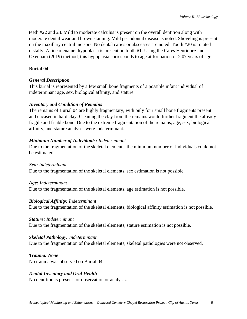teeth #22 and 23. Mild to moderate calculus is present on the overall dentition along with moderate dental wear and brown staining. Mild periodontal disease is noted. Shoveling is present on the maxillary central incisors. No dental caries or abscesses are noted. Tooth #20 is rotated distally. A linear enamel hypoplasia is present on tooth #1. Using the Cares Henriquez and Oxenham (2019) method, this hypoplasia corresponds to age at formation of 2.07 years of age.

#### <span id="page-11-0"></span>**Burial 04**

#### *General Description*

This burial is represented by a few small bone fragments of a possible infant individual of indeterminant age, sex, biological affinity, and stature.

#### *Inventory and Condition of Remains*

The remains of Burial 04 are highly fragmentary, with only four small bone fragments present and encased in hard clay. Cleaning the clay from the remains would further fragment the already fragile and friable bone. Due to the extreme fragmentation of the remains, age, sex, biological affinity, and stature analyses were indeterminant.

#### *Minimum Number of Individuals: Indeterminant*

Due to the fragmentation of the skeletal elements, the minimum number of individuals could not be estimated.

*Sex: Indeterminant* Due to the fragmentation of the skeletal elements, sex estimation is not possible.

#### *Age: Indeterminant*

Due to the fragmentation of the skeletal elements, age estimation is not possible.

#### *Biological Affinity: Indeterminant*

Due to the fragmentation of the skeletal elements, biological affinity estimation is not possible.

#### *Stature: Indeterminant*

Due to the fragmentation of the skeletal elements, stature estimation is not possible.

#### *Skeletal Pathology: Indeterminant*

Due to the fragmentation of the skeletal elements, skeletal pathologies were not observed.

*Trauma: None* No trauma was observed on Burial 04.

# *Dental Inventory and Oral Health*

<span id="page-11-1"></span>No dentition is present for observation or analysis.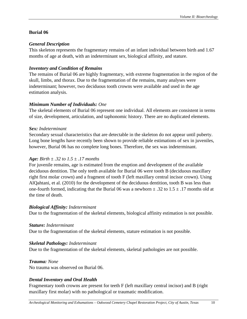## **Burial 06**

## *General Description*

This skeleton represents the fragmentary remains of an infant individual between birth and 1.67 months of age at death, with an indeterminant sex, biological affinity, and stature.

## *Inventory and Condition of Remains*

The remains of Burial 06 are highly fragmentary, with extreme fragmentation in the region of the skull, limbs, and thorax. Due to the fragmentation of the remains, many analyses were indeterminant; however, two deciduous tooth crowns were available and used in the age estimation analysis.

# *Minimum Number of Individuals: One*

The skeletal elements of Burial 06 represent one individual. All elements are consistent in terms of size, development, articulation, and taphonomic history. There are no duplicated elements.

## *Sex: Indeterminant*

Secondary sexual characteristics that are detectable in the skeleton do not appear until puberty. Long bone lengths have recently been shown to provide reliable estimations of sex in juveniles, however, Burial 06 has no complete long bones. Therefore, the sex was indeterminant.

## *Age: Birth ± .32 to 1.5 ± .17 months*

For juvenile remains, age is estimated from the eruption and development of the available deciduous dentition. The only teeth available for Burial 06 were tooth B (deciduous maxillary right first molar crown) and a fragment of tooth F (left maxillary central incisor crown). Using AlQahtani, et al. (2010) for the development of the deciduous dentition, tooth B was less than one-fourth formed, indicating that the Burial 06 was a newborn  $\pm$  .32 to 1.5  $\pm$  .17 months old at the time of death.

## *Biological Affinity: Indeterminant*

Due to the fragmentation of the skeletal elements, biological affinity estimation is not possible.

## *Stature: Indeterminant*

Due to the fragmentation of the skeletal elements, stature estimation is not possible.

# *Skeletal Pathology: Indeterminant*

Due to the fragmentation of the skeletal elements, skeletal pathologies are not possible.

*Trauma: None* No trauma was observed on Burial 06.

# *Dental Inventory and Oral Health*

Fragmentary tooth crowns are present for teeth F (left maxillary central incisor) and B (right maxillary first molar) with no pathological or traumatic modification.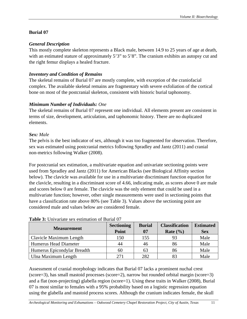# <span id="page-13-0"></span>**Burial 07**

# *General Description*

This mostly complete skeleton represents a Black male, between 14.9 to 25 years of age at death, with an estimated stature of approximately 5'3" to 5'8". The cranium exhibits an autopsy cut and the right femur displays a healed fracture.

# *Inventory and Condition of Remains*

The skeletal remains of Burial 07 are mostly complete, with exception of the craniofacial complex. The available skeletal remains are fragmentary with severe exfoliation of the cortical bone on most of the postcranial skeleton, consistent with historic burial taphonomy.

# *Minimum Number of Individuals: One*

The skeletal remains of Burial 07 represent one individual. All elements present are consistent in terms of size, development, articulation, and taphonomic history. There are no duplicated elements.

# *Sex: Male*

The pelvis is the best indicator of sex, although it was too fragmented for observation. Therefore, sex was estimated using postcranial metrics following Spradley and Jantz (2011) and cranial non-metrics following Walker (2008).

For postcranial sex estimation, a multivariate equation and univariate sectioning points were used from Spradley and Jantz (2011) for American Blacks (see Biological Affinity section below). The clavicle was available for use in a multivariate discriminant function equation for the clavicle, resulting in a discriminant score of 4.66, indicating male, as scores above 0 are male and scores below 0 are female. The clavicle was the only element that could be used in a multivariate function; however, other single measurements were used in sectioning points that have a classification rate above 80% (see Table 3). Values above the sectioning point are considered male and values below are considered female.

| <b>Measurement</b>          | <b>Sectioning</b> | <b>Burial</b> | <b>Classification</b> | <b>Estimated</b> |
|-----------------------------|-------------------|---------------|-----------------------|------------------|
|                             | Point             | 07            | Rate $(\% )$          | <b>Sex</b>       |
| Clavicle Maximum Length     | 150               | 155           |                       | Male             |
| Humerus Head Diameter       | 44                | 46            | 86                    | Male             |
| Humerus Epicondylar Breadth | 60                | 63            | 86                    | Male             |
| Ulna Maximum Length         | 271               | 282           |                       | Male             |

# **Table 3:** Univariate sex estimation of Burial 07

Assessment of cranial morphology indicates that Burial 07 lacks a prominent nuchal crest (score=3), has small mastoid processes (score=2), narrow but rounded orbital margin (score=3) and a flat (non-projecting) glabella region (score=1). Using these traits in Walker (2008), Burial 07 is most similar to females with a 95% probability based on a logistic regression equation using the glabella and mastoid process scores. Although the cranium indicates female, the skull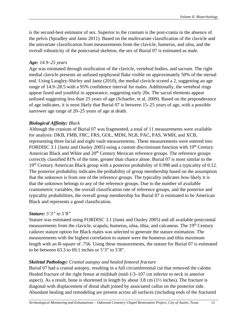is the second-best estimator of sex. Superior to the cranium is the post-crania in the absence of the pelvis (Spradley and Jantz 2011). Based on the multivariate classification of the clavicle and the univariate classification from measurements from the clavicle, humerus, and ulna, and the overall robusticity of the postcranial skeleton, the sex of Burial 07 is estimated as male.

# *Age: 14.9–25 years*

Age was estimated through ossification of the clavicle, vertebral bodies, and sacrum. The right medial clavicle presents an unfused epiphyseal flake visible on approximately 50% of the sternal end. Using Langley-Shirley and Jantz (2010), the medial clavicle scored a 2, suggesting an age range of 14.9–28.5 with a 95% confidence interval for males. Additionally, the vertebral rings appear fused and youthful in appearance, suggesting early 20s. The sacral elements appear unfused suggesting less than 25 years of age (Schaefer, et al. 2009). Based on the preponderance of age indicates, it is most likely that Burial 07 is between 15–25 years of age, with a possible narrower age range of 20–25 years of age at death.

# *Biological Affinity: Black*

Although the cranium of Burial 07 was fragmented, a total of 11 measurements were available for analysis: DKB, FMB, FRC, FRS, GOL, MDH, NLB, PAC, PAS, WMH, and XCB, representing three facial and eight vault measurements. These measurements were entered into FORDISC 3.1 (Jantz and Ousley 2005) using a custom discriminant function with  $19<sup>th</sup>$  Century American Black and White and  $20<sup>th</sup>$  Century Mexican reference groups. The reference groups correctly classified 81% of the time, greater than chance alone. Burial 07 is most similar to the 19<sup>th</sup> Century American Black group with a posterior probability of 0.998 and a typicality of 0.12. The posterior probability indicates the probability of group membership based on the assumption that the unknown is from one of the reference groups. The typicality indicates how likely it is that the unknown belongs to any of the reference groups. Due to the number of available craniometric variables, the overall classification rate of reference groups, and the posterior and typicality probabilities, the overall group membership for Burial 07 is estimated to be American Black and represents a good classification.

# *Stature: 5'3" to 5'8"*

Stature was estimated using FORDISC 3.1 (Jantz and Ousley 2005) and all available postcranial measurements from the clavicle, scapula, humerus, ulna, tibia, and calcaneus. The 19<sup>th</sup> Century cadaver stature option for Black males was selected to generate the stature estimation. The measurements with the highest correlation to stature were the humerus and tibia maximum length with an R-square of .756. Using these measurements, the stature for Burial 07 is estimated to be between  $63.3$  to  $69.1$  inches or  $5'3''$  to  $5'8''$ .

# *Skeletal Pathology: Cranial autopsy and healed femoral fracture*

Burial 07 had a cranial autopsy, resulting in a full circumferential cut that removed the calotte. Healed fracture of the right femur at midshaft (mid-1/3–107 cm inferior to neck in anterior aspect). As a result, bone is shortened in length by about 3.8 cm (1½ inches). The fracture is diagonal with displacement of distal shaft joined by associated callus on the posterior side. Abundant healing and remodeling are present across all surfaces (including ends of the fractured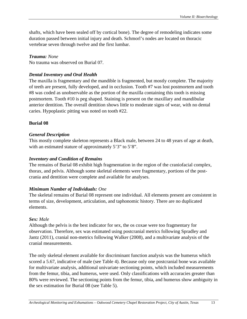shafts, which have been sealed off by cortical bone). The degree of remodeling indicates some duration passed between initial injury and death. Schmorl's nodes are located on thoracic vertebrae seven through twelve and the first lumbar.

## *Trauma: None*

No trauma was observed on Burial 07.

## *Dental Inventory and Oral Health*

The maxilla is fragmentary and the mandible is fragmented, but mostly complete. The majority of teeth are present, fully developed, and in occlusion. Tooth #7 was lost postmortem and tooth #8 was coded as unobservable as the portion of the maxilla containing this tooth is missing postmortem. Tooth #10 is peg shaped. Staining is present on the maxillary and mandibular anterior dentition. The overall dentition shows little to moderate signs of wear, with no dental caries. Hypoplastic pitting was noted on tooth #22.

# <span id="page-15-0"></span>**Burial 08**

# *General Description*

This mostly complete skeleton represents a Black male, between 24 to 48 years of age at death, with an estimated stature of approximately 5'3" to 5'8".

## *Inventory and Condition of Remains*

The remains of Burial 08 exhibit high fragmentation in the region of the craniofacial complex, thorax, and pelvis. Although some skeletal elements were fragmentary, portions of the postcrania and dentition were complete and available for analyses.

# *Minimum Number of Individuals: One*

The skeletal remains of Burial 08 represent one individual. All elements present are consistent in terms of size, development, articulation, and taphonomic history. There are no duplicated elements.

# *Sex: Male*

Although the pelvis is the best indicator for sex, the os coxae were too fragmentary for observation. Therefore, sex was estimated using postcranial metrics following Spradley and Jantz (2011), cranial non-metrics following Walker (2008), and a multivariate analysis of the cranial measurements.

The only skeletal element available for discriminant function analysis was the humerus which scored a 5.67, indicative of male (see Table 4). Because only one postcranial bone was available for multivariate analysis, additional univariate sectioning points, which included measurements from the femur, tibia, and humerus, were used. Only classifications with accuracies greater than 80% were reviewed. The sectioning points from the femur, tibia, and humerus show ambiguity in the sex estimation for Burial 08 (see Table 5).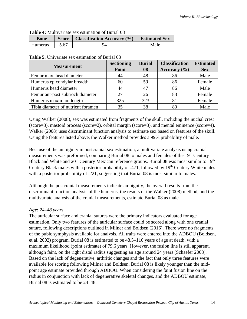| <b>Table 4:</b> Multivariate sex estimation of Burial OS |                      |    |      |  |  |  |  |
|----------------------------------------------------------|----------------------|----|------|--|--|--|--|
| <b>Bone</b>                                              | <b>Estimated Sex</b> |    |      |  |  |  |  |
| Humerus                                                  | 5.67                 | 94 | Male |  |  |  |  |

## **Table 4:** Multivariate sex estimation of Burial 08

#### **Table 5.** Univariate sex estimation of Burial 08

| <b>Measurement</b>                 | <b>Sectioning</b> | <b>Burial</b> | <b>Classification</b> | <b>Estimated</b> |
|------------------------------------|-------------------|---------------|-----------------------|------------------|
|                                    | Point             | 08            | Accuracy $(\% )$      | <b>Sex</b>       |
| Femur max. head diameter           | 44                | 48            | 86                    | Male             |
| Humerus epicondylar breadth        | 60                | 59            | 86                    | Female           |
| Humerus head diameter              | 44                | 47            | 86                    | Male             |
| Femur ant-post subtroch diameter   | 27                | 26            | 83                    | Female           |
| Humerus maximum length             | 325               | 323           | 81                    | Female           |
| Tibia diameter of nutrient foramen | 35                | 38            | 80                    | Male             |

Using Walker (2008), sex was estimated from fragments of the skull, including the nuchal crest (score=3), mastoid process (score=2), orbital margin (score=3), and mental eminence (score=4). Walker (2008) uses discriminant function analysis to estimate sex based on features of the skull. Using the features listed above, the Walker method provides a 99% probability of male.

Because of the ambiguity in postcranial sex estimation, a multivariate analysis using cranial measurements was preformed, comparing Burial 08 to males and females of the 19<sup>th</sup> Century Black and White and 20<sup>th</sup> Century Mexican reference groups. Burial 08 was most similar to 19<sup>th</sup> Century Black males with a posterior probability of .471, followed by 19<sup>th</sup> Century White males with a posterior probability of .221, suggesting that Burial 08 is most similar to males.

Although the postcranial measurements indicate ambiguity, the overall results from the discriminant function analysis of the humerus, the results of the Walker (2008) method, and the multivariate analysis of the cranial measurements, estimate Burial 08 as male.

# *Age: 24–48 years*

The auricular surface and cranial sutures were the primary indicators evaluated for age estimation. Only two features of the auricular surface could be scored along with one cranial suture, following descriptions outlined in Milner and Boldsen (2016). There were no fragments of the pubic symphysis available for analysis. All traits were entered into the ADBOU (Boldsen, et al. 2002) program. Burial 08 is estimated to be 48.5–110 years of age at death, with a maximum likelihood (point estimate) of 79.6 years. However, the fusion line is still apparent, although faint, on the right distal radius suggesting an age around 24 years (Schaefer 2008). Based on the lack of degenerative, arthritic changes and the fact that only three features were available for scoring following Milner and Boldsen, Burial 08 is likely younger than the midpoint age estimate provided through ADBOU. When considering the faint fusion line on the radius in conjunction with lack of degenerative skeletal changes, and the ADBOU estimate, Burial 08 is estimated to be 24–48.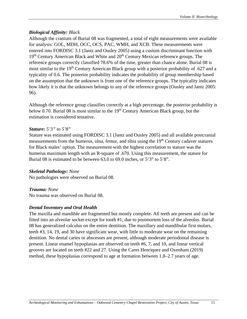## *Biological Affinity: Black*

Although the cranium of Burial 08 was fragmented, a total of eight measurements were available for analysis: GOL, MDH, OCC, OCS, PAC, WMH, and XCB. These measurements were entered into FORDISC 3.1 (Jantz and Ousley 2005) using a custom discriminant function with 19<sup>th</sup> Century American Black and White and 20<sup>th</sup> Century Mexican reference groups. The reference groups correctly classified 78.6% of the time, greater than chance alone. Burial 08 is most similar to the 19<sup>th</sup> Century American Black group with a posterior probability of .627 and a typicality of 0.6. The posterior probability indicates the probability of group membership based on the assumption that the unknown is from one of the reference groups. The typicality indicates how likely it is that the unknown belongs to any of the reference groups (Ousley and Jantz 2005: 96).

Although the reference group classifies correctly at a high percentage, the posterior probability is below 0.70. Burial 08 is most similar to the  $19<sup>th</sup>$  Century American Black group, but the estimation is considered tentative.

#### *Stature: 5'3" to 5'8"*

Stature was estimated using FORDISC 3.1 (Jantz and Ousley 2005) and all available postcranial measurements from the humerus, ulna, femur, and tibia using the 19<sup>th</sup> Century cadaver statures for Black males' option. The measurement with the highest correlation to stature was the humerus maximum length with an R-square of .670. Using this measurement, the stature for Burial 08 is estimated to be between 63.0 to 69.0 inches, or 5'3" to 5'8".

#### *Skeletal Pathology: None*

No pathologies were observed on Burial 08.

#### *Trauma: None*

No trauma was observed on Burial 08.

#### *Dental Inventory and Oral Health*

<span id="page-17-0"></span>The maxilla and mandible are fragmented but mostly complete. All teeth are present and can be fitted into an alveolar socket except for tooth #1, due to postmortem loss of the alveolus. Burial 08 has generalized calculus on the entire dentition. The maxillary and mandibular first molars, teeth #3, 14, 19, and 30 have significant wear, with little to moderate wear on the remaining dentition. No dental caries or abscesses are present, although moderate periodontal disease is present. Linear enamel hypoplasias are observed on teeth #6, 7, and 10, and linear vertical grooves are located on teeth #22 and 27. Using the Cares Henriquez and Oxenham (2019) method, these hypoplasias correspond to age at formation between 1.8–2.7 years of age.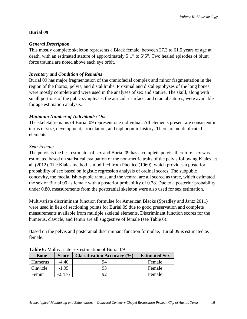## **Burial 09**

## *General Description*

This mostly complete skeleton represents a Black female, between 27.3 to 61.5 years of age at death, with an estimated stature of approximately 5'1" to 5'5". Two healed episodes of blunt force trauma are noted above each eye orbit.

## *Inventory and Condition of Remains*

Burial 09 has major fragmentation of the craniofacial complex and minor fragmentation in the region of the thorax, pelvis, and distal limbs. Proximal and distal epiphyses of the long bones were mostly complete and were used in the analyses of sex and stature. The skull, along with small portions of the pubic symphysis, the auricular surface, and cranial sutures, were available for age estimation analysis.

## *Minimum Number of Individuals: One*

The skeletal remains of Burial 09 represent one individual. All elements present are consistent in terms of size, development, articulation, and taphonomic history. There are no duplicated elements.

## *Sex: Female*

The pelvis is the best estimator of sex and Burial 09 has a complete pelvis, therefore, sex was estimated based on statistical evaluation of the non-metric traits of the pelvis following Klales, et al. (2012). The Klales method is modified from Phenice (1969), which provides a posterior probability of sex based on logistic regression analysis of ordinal scores. The subpubic concavity, the medial ishio-pubic ramus, and the ventral arc all scored as three, which estimated the sex of Burial 09 as female with a posterior probability of 0.78. Due to a posterior probability under 0.80, measurements from the postcranial skeleton were also used for sex estimation.

Multivariate discriminant function formulae for American Blacks (Spradley and Jantz 2011) were used in lieu of sectioning points for Burial 09 due to good preservation and complete measurements available from multiple skeletal elements. Discriminant function scores for the humerus, clavicle, and femur are all suggestive of female (see Table 6).

Based on the pelvis and postcranial discriminant function formulae, Burial 09 is estimated as female.

| <b>Classification Accuracy</b> (%)<br><b>Bone</b><br><b>Score</b> |          |    | <b>Estimated Sex</b> |
|-------------------------------------------------------------------|----------|----|----------------------|
| <b>Humerus</b>                                                    | $-4.40$  | 94 | Female               |
| Clavicle                                                          | $-1.95$  | 93 | Female               |
| Femur                                                             | $-2.476$ |    | Female               |

**Table 6:** Multivariate sex estimation of Burial 09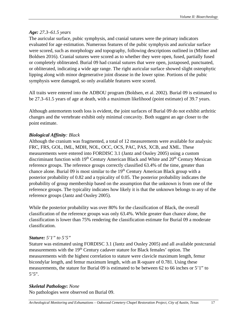## *Age: 27.3–61.5 years*

The auricular surface, pubic symphysis, and cranial sutures were the primary indicators evaluated for age estimation. Numerous features of the pubic symphysis and auricular surface were scored, such as morphology and topography, following descriptions outlined in (Milner and Boldsen 2016). Cranial sutures were scored as to whether they were open, fused, partially fused or completely obliterated. Burial 09 had cranial sutures that were open, juxtaposed, punctuated, or obliterated, indicating a wide age range. The right auricular surface showed slight osteophytic lipping along with minor degenerative joint disease in the lower spine. Portions of the pubic symphysis were damaged, so only available features were scored.

All traits were entered into the ADBOU program (Boldsen, et al. 2002). Burial 09 is estimated to be 27.3–61.5 years of age at death, with a maximum likelihood (point estimate) of 39.7 years.

Although antemortem tooth loss is evident, the joint surfaces of Burial 09 do not exhibit arthritic changes and the vertebrate exhibit only minimal concavity. Both suggest an age closer to the point estimate.

## *Biological Affinity: Black*

Although the cranium was fragmented, a total of 12 measurements were available for analysis: FRC, FRS, GOL, IML, MDH, NOL, OCC, OCS, PAC, PAS, XCB, and XML. These measurements were entered into FORDISC 3.1 (Jantz and Ousley 2005) using a custom discriminant function with 19<sup>th</sup> Century American Black and White and 20<sup>th</sup> Century Mexican reference groups. The reference groups correctly classified 63.4% of the time, greater than chance alone. Burial 09 is most similar to the  $19<sup>th</sup>$  Century American Black group with a posterior probability of 0.82 and a typicality of 0.05. The posterior probability indicates the probability of group membership based on the assumption that the unknown is from one of the reference groups. The typicality indicates how likely it is that the unknown belongs to any of the reference groups (Jantz and Ousley 2005).

While the posterior probability was over 80% for the classification of Black, the overall classification of the reference groups was only 63.4%. While greater than chance alone, the classification is lower than 75% rendering the classification estimate for Burial 09 a moderate classification.

## *Stature: 5'1" to 5'5"*

Stature was estimated using FORDISC 3.1 (Jantz and Ousley 2005) and all available postcranial measurements with the 19<sup>th</sup> Century cadaver stature for Black females' option. The measurements with the highest correlation to stature were clavicle maximum length, femur bicondylar length, and femur maximum length, with an R-square of 0.781. Using these measurements, the stature for Burial 09 is estimated to be between 62 to 66 inches or 5'1" to 5'5".

## *Skeletal Pathology***:** *None*

No pathologies were observed on Burial 09.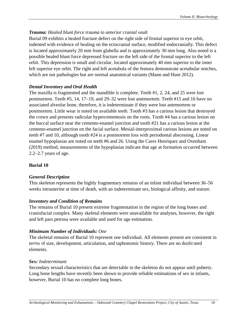# *Trauma: Healed blunt force trauma to anterior cranial vault*

Burial 09 exhibits a healed fracture defect on the right side of frontal superior to eye orbit, indented with evidence of healing on the ectocranial surface, modified endocranially. This defect is located approximately 20 mm from glabella and is approximately 30 mm long. Also noted is a possible healed blunt force depressed fracture on the left side of the frontal superior to the left orbit. This depression is small and circular, located approximately 40 mm superior to the inner left superior eye orbit. The right and left acetabula of the femora demonstrate acetabular notches, which are not pathologies but are normal anatomical variants (Mann and Hunt 2012).

## *Dental Inventory and Oral Health*

The maxilla is fragmented and the mandible is complete. Teeth #1, 2, 24, and 25 were lost postmortem. Teeth #5, 14, 17–19, and 29–32 were lost antemortem. Teeth #15 and 16 have no associated alveolar bone, therefore, it is indeterminate if they were lost antemortem or postmortem. Little wear is noted on available teeth. Tooth #3 has a carious lesion that destroyed the crown and presents radicular hypercementosis on the roots. Tooth #4 has a carious lesion on the buccal surface near the cemento-enamel junction and tooth #21 has a carious lesion at the cemento-enamel junction on the facial surface. Mesial-interproximal carious lesions are noted on teeth #7 and 10, although tooth #24 is a postmortem loss with periodontal abscessing. Linear enamel hypoplasias are noted on teeth #6 and 26. Using the Cares Henriquez and Oxenham (2019) method, measurements of the hypoplasias indicate that age at formation occurred between 2.2–2.7 years of age.

## <span id="page-20-0"></span>**Burial 10**

## *General Description*

This skeleton represents the highly fragmentary remains of an infant individual between 36–56 weeks intrauterine at time of death, with an indeterminant sex, biological affinity, and stature.

## *Inventory and Condition of Remains*

The remains of Burial 10 present extreme fragmentation in the region of the long bones and craniofacial complex. Many skeletal elements were unavailable for analyses, however, the right and left pars petrosa were available and used for age estimation.

# *Minimum Number of Individuals: One*

The skeletal remains of Burial 10 represent one individual. All elements present are consistent in terms of size, development, articulation, and taphonomic history. There are no duplicated elements.

## *Sex: Indeterminant*

Secondary sexual characteristics that are detectable in the skeleton do not appear until puberty. Long bone lengths have recently been shown to provide reliable estimations of sex in infants, however, Burial 10 has no complete long bones.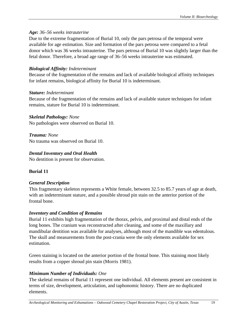## *Age: 36–56 weeks intrauterine*

Due to the extreme fragmentation of Burial 10, only the pars petrosa of the temporal were available for age estimation. Size and formation of the pars petrosa were compared to a fetal donor which was 36 weeks intrauterine. The pars petrosa of Burial 10 was slightly larger than the fetal donor. Therefore, a broad age range of 36–56 weeks intrauterine was estimated.

## *Biological Affinity: Indeterminant*

Because of the fragmentation of the remains and lack of available biological affinity techniques for infant remains, biological affinity for Burial 10 is indeterminant.

## *Stature: Indeterminant*

Because of the fragmentation of the remains and lack of available stature techniques for infant remains, stature for Burial 10 is indeterminant.

## *Skeletal Pathology: None*

No pathologies were observed on Burial 10.

*Trauma: None* No trauma was observed on Burial 10.

# *Dental Inventory and Oral Health*

No dentition is present for observation.

# <span id="page-21-0"></span>**Burial 11**

# *General Description*

This fragmentary skeleton represents a White female, between 32.5 to 85.7 years of age at death, with an indeterminant stature, and a possible shroud pin stain on the anterior portion of the frontal bone.

# *Inventory and Condition of Remains*

Burial 11 exhibits high fragmentation of the thorax, pelvis, and proximal and distal ends of the long bones. The cranium was reconstructed after cleaning, and some of the maxillary and mandibular dentition was available for analyses, although most of the mandible was edentulous. The skull and measurements from the post-crania were the only elements available for sex estimation.

Green staining is located on the anterior portion of the frontal bone. This staining most likely results from a copper shroud pin stain (Morris 1981).

# *Minimum Number of Individuals: One*

The skeletal remains of Burial 11 represent one individual. All elements present are consistent in terms of size, development, articulation, and taphonomic history. There are no duplicated elements.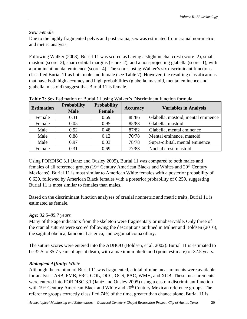# *Sex: Female*

Due to the highly fragmented pelvis and post crania, sex was estimated from cranial non-metric and metric analysis.

Following Walker (2008), Burial 11 was scored as having a slight nuchal crest (score=2), small mastoid (score=2), sharp orbital margins (score=2), and a non-projecting glabella (score=1), with a prominent mental eminence (score=4). The scores using Walker's six discriminant functions classified Burial 11 as both male and female (see Table 7). However, the resulting classifications that have both high accuracy and high probabilities (glabella, mastoid, mental eminence and glabella, mastoid) suggest that Burial 11 is female.

| <b>Estimation</b> | <b>Probability</b><br><b>Male</b> | <b>Probability</b><br>Female | Accuracy | <b>Variables in Analysis</b>       |
|-------------------|-----------------------------------|------------------------------|----------|------------------------------------|
| Female            | 0.31                              | 0.69                         | 88/86    | Glabella, mastoid, mental eminence |
| Female            | 0.05                              | 0.95                         | 85/83    | Glabella, mastoid                  |
| Male              | 0.52                              | 0.48                         | 87/82    | Glabella, mental eminence          |
| Male              | 0.88                              | 0.12                         | 70/78    | Mental eminence, mastoid           |
| Male              | 0.97                              | 0.03                         | 78/78    | Supra-orbital, mental eminence     |
| Female            | 0.31                              | 0.69                         | 77/83    | Nuchal crest, mastoid              |

**Table 7:** Sex Estimation of Burial 11 using Walker's Discriminant function formula

Using FORDISC 3.1 (Jantz and Ousley 2005), Burial 11 was compared to both males and females of all reference groups  $(19<sup>th</sup>$  Century American Blacks and Whites and  $20<sup>th</sup>$  Century Mexicans). Burial 11 is most similar to American White females with a posterior probability of 0.630, followed by American Black females with a posterior probability of 0.259, suggesting Burial 11 is most similar to females than males.

Based on the discriminant function analyses of cranial nonmetric and metric traits, Burial 11 is estimated as female.

# *Age: 32.5–85.7 years*

Many of the age indicators from the skeleton were fragmentary or unobservable. Only three of the cranial sutures were scored following the descriptions outlined in Milner and Boldsen (2016), the sagittal obelica, lamdoidal asterica, and zygomaticomaxillary.

The suture scores were entered into the ADBOU (Boldsen, et al. 2002). Burial 11 is estimated to be 32.5 to 85.7 years of age at death, with a maximum likelihood (point estimate) of 32.5 years.

# *Biological Affinity: White*

Although the cranium of Burial 11 was fragmented, a total of nine measurements were available for analysis: ASB, FMB, FRC, GOL, OCC, OCS, PAC, WMH, and XCB. These measurements were entered into FORDISC 3.1 (Jantz and Ousley 2005) using a custom discriminant function with 19<sup>th</sup> Century American Black and White and 20<sup>th</sup> Century Mexican reference groups. The reference groups correctly classified 74% of the time, greater than chance alone. Burial 11 is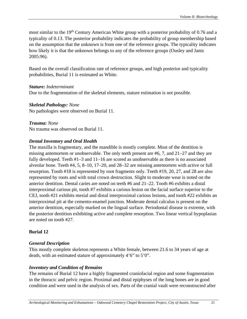most similar to the 19<sup>th</sup> Century American White group with a posterior probability of 0.76 and a typicality of 0.13. The posterior probability indicates the probability of group membership based on the assumption that the unknown is from one of the reference groups. The typicality indicates how likely it is that the unknown belongs to any of the reference groups (Ousley and Jantz 2005:96).

Based on the overall classification rate of reference groups, and high posterior and typicality probabilities, Burial 11 is estimated as White.

## *Stature: Indeterminant*

Due to the fragmentation of the skeletal elements, stature estimation is not possible.

## *Skeletal Pathology: None*

No pathologies were observed on Burial 11.

## *Trauma: None*

No trauma was observed on Burial 11.

## *Dental Inventory and Oral Health*

The maxilla is fragmentary, and the mandible is mostly complete. Most of the dentition is missing antemortem or unobservable. The only teeth present are #6, 7, and 21–27 and they are fully developed. Teeth #1–3 and 11–16 are scored as unobservable as there is no associated alveolar bone. Teeth #4, 5, 8–10, 17–20, and 28–32 are missing antemortem with active or full resorption. Tooth #18 is represented by root fragments only. Teeth #19, 20, 27, and 28 are also represented by roots and with total crown destruction. Slight to moderate wear is noted on the anterior dentition. Dental caries are noted on teeth #6 and 21–22. Tooth #6 exhibits a distal interproximal carious pit, tooth #7 exhibits a carious lesion on the facial surface superior to the CEJ, tooth #21 exhibits mesial and distal interproximal carious lesions, and tooth #22 exhibits an interproximal pit at the cemento-enamel junction. Moderate dental calculus is present on the anterior dentition, especially marked on the lingual surface. Periodontal disease is extreme, with the posterior dentition exhibiting active and complete resorption. Two linear vertical hypoplasias are noted on tooth #27.

# <span id="page-23-0"></span>**Burial 12**

## *General Description*

This mostly complete skeleton represents a White female, between 21.6 to 34 years of age at death, with an estimated stature of approximately 4'6" to 5'0".

# *Inventory and Condition of Remains*

The remains of Burial 12 have a highly fragmented craniofacial region and some fragmentation in the thoracic and pelvic region. Proximal and distal epiphyses of the long bones are in good condition and were used in the analysis of sex. Parts of the cranial vault were reconstructed after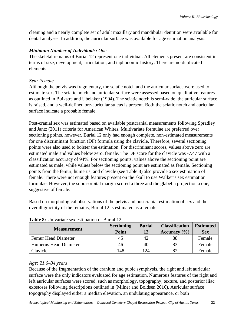cleaning and a nearly complete set of adult maxillary and mandibular dentition were available for dental analyses. In addition, the auricular surface was available for age estimation analysis.

## *Minimum Number of Individuals: One*

The skeletal remains of Burial 12 represent one individual. All elements present are consistent in terms of size, development, articulation, and taphonomic history. There are no duplicated elements.

## *Sex: Female*

Although the pelvis was fragmentary, the sciatic notch and the auricular surface were used to estimate sex. The sciatic notch and auricular surface were assessed based on qualitative features as outlined in Buikstra and Ubelaker (1994). The sciatic notch is semi-wide, the auricular surface is raised, and a well-defined pre-auricular sulcus is present. Both the sciatic notch and auricular surface indicate a probable female.

Post-cranial sex was estimated based on available postcranial measurements following Spradley and Jantz (2011) criteria for American Whites. Multivariate formulae are preferred over sectioning points, however, Burial 12 only had enough complete, non-estimated measurements for one discriminant function (DF) formula using the clavicle. Therefore, several sectioning points were also used to bolster the estimation. For discriminant scores, values above zero are estimated male and values below zero, female. The DF score for the clavicle was -7.47 with a classification accuracy of 94%. For sectioning points, values above the sectioning point are estimated as male, while values below the sectioning point are estimated as female. Sectioning points from the femur, humerus, and clavicle (see Table 8) also provide a sex estimation of female. There were not enough features present on the skull to use Walker's sex estimation formulae. However, the supra-orbital margin scored a three and the glabella projection a one, suggestive of female.

Based on morphological observations of the pelvis and postcranial estimation of sex and the overall gracility of the remains, Burial 12 is estimated as a female.

| <b>Measurement</b>    | <b>Sectioning</b><br>Point | <b>Burial</b><br>12 | <b>Classification</b><br>Accuracy $(\% )$ | <b>Estimated</b><br><b>Sex</b> |
|-----------------------|----------------------------|---------------------|-------------------------------------------|--------------------------------|
| Femur Head Diameter   | 45                         | 42                  | 88                                        | Female                         |
| Humerus Head Diameter | 46                         | 40                  | 83                                        | Female                         |
| Clavicle              | 148                        | 124                 | 82                                        | Female                         |

**Table 8:** Univariate sex estimation of Burial 12

## *Age: 21.6–34 years*

Because of the fragmentation of the cranium and pubic symphysis, the right and left auricular surface were the only indicators evaluated for age estimation. Numerous features of the right and left auricular surfaces were scored, such as morphology, topography, texture, and posterior iliac exostoses following descriptions outlined in (Milner and Boldsen 2016). Auricular surface topography displayed either a median elevation, an undulating appearance, or both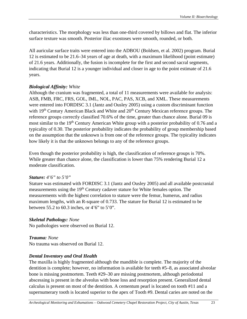characteristics. The morphology was less than one-third covered by billows and flat. The inferior surface texture was smooth. Posterior iliac exostoses were smooth, rounded, or both.

All auricular surface traits were entered into the ADBOU (Boldsen, et al*.* 2002) program. Burial 12 is estimated to be 21.6–34 years of age at death, with a maximum likelihood (point estimate) of 21.6 years. Additionally, the fusion is incomplete for the first and second sacral segments, indicating that Burial 12 is a younger individual and closer in age to the point estimate of 21.6 years.

#### *Biological Affinity: White*

Although the cranium was fragmented, a total of 11 measurements were available for analysis: ASB, FMB, FRC, FRS, GOL, IML, NOL, PAC, PAS, XCB, and XML. These measurements were entered into FORDISC 3.1 (Jantz and Ousley 2005) using a custom discriminant function with 19<sup>th</sup> Century American Black and White and 20<sup>th</sup> Century Mexican reference groups. The reference groups correctly classified 70.6% of the time, greater than chance alone. Burial 09 is most similar to the 19<sup>th</sup> Century American White group with a posterior probability of 0.76 and a typicality of 0.30. The posterior probability indicates the probability of group membership based on the assumption that the unknown is from one of the reference groups. The typicality indicates how likely it is that the unknown belongs to any of the reference groups.

Even though the posterior probability is high, the classification of reference groups is 70%. While greater than chance alone, the classification is lower than 75% rendering Burial 12 a moderate classification.

#### *Stature: 4'6" to 5'0"*

Stature was estimated with FORDISC 3.1 (Jantz and Ousley 2005) and all available postcranial measurements using the 19<sup>th</sup> Century cadaver stature for White females option. The measurements with the highest correlation to stature were the femur, humerus, and radius maximum lengths, with an R-square of 0.733. The stature for Burial 12 is estimated to be between 55.2 to 60.3 inches, or 4'6" to 5'0".

#### *Skeletal Pathology: None*

No pathologies were observed on Burial 12.

## *Trauma: None*

No trauma was observed on Burial 12.

#### *Dental Inventory and Oral Health*

The maxilla is highly fragmented although the mandible is complete. The majority of the dentition is complete; however, no information is available for teeth #5–8, as associated alveolar bone is missing postmortem. Teeth #29–30 are missing postmortem, although periodontal abscessing is present in the alveolus with bone loss and resorption present. Generalized dental calculus is present on most of the dentition. A cementum pearl is located on tooth #11 and a supernumerary tooth is located superior to the apex of Tooth #9. Dental caries are noted on the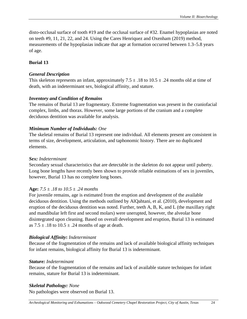disto-occlusal surface of tooth #19 and the occlusal surface of #32. Enamel hypoplasias are noted on teeth #9, 11, 21, 22, and 24. Using the Cares Henriquez and Oxenham (2019) method, measurements of the hypoplasias indicate that age at formation occurred between 1.3–5.8 years of age.

# <span id="page-26-0"></span>**Burial 13**

## *General Description*

This skeleton represents an infant, approximately  $7.5 \pm .18$  to  $10.5 \pm .24$  months old at time of death, with an indeterminant sex, biological affinity, and stature.

## *Inventory and Condition of Remains*

The remains of Burial 13 are fragmentary. Extreme fragmentation was present in the craniofacial complex, limbs, and thorax. However, some large portions of the cranium and a complete deciduous dentition was available for analysis.

## *Minimum Number of Individuals: One*

The skeletal remains of Burial 13 represent one individual. All elements present are consistent in terms of size, development, articulation, and taphonomic history. There are no duplicated elements.

#### *Sex: Indeterminant*

Secondary sexual characteristics that are detectable in the skeleton do not appear until puberty. Long bone lengths have recently been shown to provide reliable estimations of sex in juveniles, however, Burial 13 has no complete long bones.

# **Age:** *7.5 ± .18 to 10.5 ± .24 months*

For juvenile remains, age is estimated from the eruption and development of the available deciduous dentition. Using the methods outlined by AlQahtani, et al. (2010), development and eruption of the deciduous dentition was noted. Further, teeth A, B, K, and L (the maxillary right and mandibular left first and second molars) were unerupted, however, the alveolar bone disintegrated upon cleaning. Based on overall development and eruption, Burial 13 is estimated as  $7.5 \pm .18$  to  $10.5 \pm .24$  months of age at death.

# *Biological Affinity***:** *Indeterminant*

Because of the fragmentation of the remains and lack of available biological affinity techniques for infant remains, biological affinity for Burial 13 is indeterminant.

## *Stature: Indeterminant*

Because of the fragmentation of the remains and lack of available stature techniques for infant remains, stature for Burial 13 is indeterminant.

# *Skeletal Pathology: None*

No pathologies were observed on Burial 13.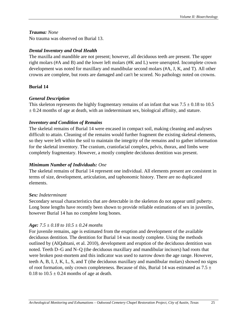## *Trauma: None*

No trauma was observed on Burial 13.

## *Dental Inventory and Oral Health*

The maxilla and mandible are not present; however, all deciduous teeth are present. The upper right molars (#A and B) and the lower left molars (#K and L) were unerupted. Incomplete crown development was noted for maxillary and mandibular second molars (#A, J, K, and T). All other crowns are complete, but roots are damaged and can't be scored. No pathology noted on crowns.

# <span id="page-27-0"></span>**Burial 14**

# *General Description*

This skeleton represents the highly fragmentary remains of an infant that was  $7.5 \pm 0.18$  to 10.5  $\pm$  0.24 months of age at death, with an indeterminant sex, biological affinity, and stature.

## *Inventory and Condition of Remains*

The skeletal remains of Burial 14 were encased in compact soil, making cleaning and analyses difficult to attain. Cleaning of the remains would further fragment the existing skeletal elements, so they were left within the soil to maintain the integrity of the remains and to gather information for the skeletal inventory. The cranium, craniofacial complex, pelvis, thorax, and limbs were completely fragmentary. However, a mostly complete deciduous dentition was present.

# *Minimum Number of Individuals: One*

The skeletal remains of Burial 14 represent one individual. All elements present are consistent in terms of size, development, articulation, and taphonomic history. There are no duplicated elements.

## *Sex: Indeterminant*

Secondary sexual characteristics that are detectable in the skeleton do not appear until puberty. Long bone lengths have recently been shown to provide reliable estimations of sex in juveniles, however Burial 14 has no complete long bones.

# *Age: 7.5 ± 0.18 to 10.5 ± 0.24 months*

For juvenile remains, age is estimated from the eruption and development of the available deciduous dentition. The dentition for Burial 14 was mostly complete. Using the methods outlined by (AlQahtani, et al. 2010), development and eruption of the deciduous dentition was noted. Teeth D–G and N–Q (the deciduous maxillary and mandibular incisors) had roots that were broken post-mortem and this indicator was used to narrow down the age range. However, teeth A, B, I, J, K, L, S, and T (the deciduous maxillary and mandibular molars) showed no signs of root formation, only crown completeness. Because of this, Burial 14 was estimated as 7.5  $\pm$ 0.18 to  $10.5 \pm 0.24$  months of age at death.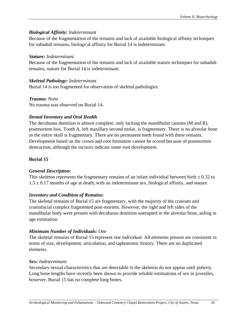## *Biological Affinity: Indeterminant*

Because of the fragmentation of the remains and lack of available biological affinity techniques for subadult remains, biological affinity for Burial 14 is indeterminant.

## *Stature: Indeterminant*

Because of the fragmentation of the remains and lack of available stature techniques for subadult remains, stature for Burial 14 is indeterminant.

## *Skeletal Pathology: Indeterminant*

Burial 14 is too fragmented for observation of skeletal pathologies.

## *Trauma***:** *None*

No trauma was observed on Burial 14.

## *Dental Inventory and Oral Health*

The deciduous dentition is almost complete, only lacking the mandibular canines (M and R), postmortem loss. Tooth A, left maxillary second molar, is fragmentary. There is no alveolar bone as the entire skull is fragmentary. There are no permanent teeth found with these remains. Development based on the crown and root formation cannot be scored because of postmortem destruction, although the incisors indicate some root development.

# <span id="page-28-0"></span>**Burial 15**

# *General Description:*

This skeleton represents the fragmentary remains of an infant individual between birth  $\pm$  0.32 to  $1.5 \pm 0.17$  months of age at death, with an indeterminant sex, biological affinity, and stature.

# *Inventory and Condition of Remains:*

The skeletal remains of Burial 15 are fragmentary, with the majority of the cranium and craniofacial complex fragmented post-mortem. However, the right and left sides of the mandibular body were present with deciduous dentition unerupted in the alveolar bone, aiding in age estimation.

# *Minimum Number of Individuals: One*

The skeletal remains of Burial 15 represent one individual. All elements present are consistent in terms of size, development, articulation, and taphonomic history. There are no duplicated elements.

## *Sex: Indeterminant*

Secondary sexual characteristics that are detectable in the skeleton do not appear until puberty. Long bone lengths have recently been shown to provide reliable estimations of sex in juveniles, however, Burial 15 has no complete long bones.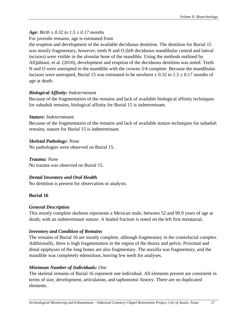# *Age: Birth ± 0.32 to 1.5 ± 0.17 months*

## For juvenile remains, age is estimated from

the eruption and development of the available deciduous dentition. The dentition for Burial 15 was mostly fragmentary, however, teeth N and O (left deciduous mandibular central and lateral incisors) were visible in the alveolar bone of the mandible. Using the methods outlined by AlQahtani, et al. (2010), development and eruption of the deciduous dentition was noted. Teeth N and O were unerupted in the mandible with the crowns 3/4 complete. Because the mandibular incisors were unerupted, Burial 15 was estimated to be newborn  $\pm$  0.32 to 1.5  $\pm$  0.17 months of age at death.

## *Biological Affinity: Indeterminant*

Because of the fragmentation of the remains and lack of available biological affinity techniques for subadult remains, biological affinity for Burial 15 is indeterminant.

## *Stature: Indeterminant*

Because of the fragmentation of the remains and lack of available stature techniques for subadult remains, stature for Burial 15 is indeterminant.

# *Skeletal Pathology: None*

No pathologies were observed on Burial 15.

*Trauma: None* No trauma was observed on Burial 15.

# *Dental Inventory and Oral Health*

No dentition is present for observation or analysis.

# <span id="page-29-0"></span>**Burial 16**

# *General Description*

This mostly complete skeleton represents a Mexican male, between 52 and 90.9 years of age at death, with an indeterminant stature. A healed fracture is noted on the left first metatarsal.

# *Inventory and Condition of Remains*

The remains of Burial 16 are mostly complete, although fragmentary in the craniofacial complex. Additionally, there is high fragmentation in the region of the thorax and pelvis. Proximal and distal epiphyses of the long bones are also fragmentary. The maxilla was fragmentary, and the mandible was completely edentulous, leaving few teeth for analyses.

# *Minimum Number of Individuals: One*

The skeletal remains of Burial 16 represent one individual. All elements present are consistent in terms of size, development, articulation, and taphonomic history. There are no duplicated elements.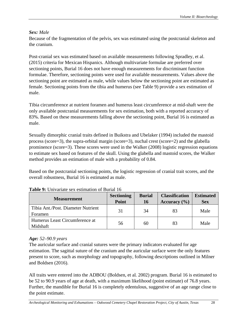# *Sex: Male*

Because of the fragmentation of the pelvis, sex was estimated using the postcranial skeleton and the cranium.

Post-cranial sex was estimated based on available measurements following Spradley, et al. (2015) criteria for Mexican Hispanics. Although multivariate formulae are preferred over sectioning points, Burial 16 does not have enough measurements for discriminant function formulae. Therefore, sectioning points were used for available measurements. Values above the sectioning point are estimated as male, while values below the sectioning point are estimated as female. Sectioning points from the tibia and humerus (see Table 9) provide a sex estimation of male.

Tibia circumference at nutrient foramen and humerus least circumference at mid-shaft were the only available postcranial measurements for sex estimation, both with a reported accuracy of 83%. Based on these measurements falling above the sectioning point, Burial 16 is estimated as male.

Sexually dimorphic cranial traits defined in Buikstra and Ubelaker (1994) included the mastoid process (score=3), the supra-orbital margin (score=3), nuchal crest (score=2) and the glabella prominence (score=3). These scores were used in the Walker (2008) logistic regression equations to estimate sex based on features of the skull. Using the glabella and mastoid scores, the Walker method provides an estimation of male with a probability of 0.84.

Based on the postcranial sectioning points, the logistic regression of cranial trait scores, and the overall robustness, Burial 16 is estimated as male.

| <b>Measurement</b>                            | <b>Sectioning</b><br>Point | <b>Burial</b><br><b>16</b> | <b>Classification</b><br>Accuracy $(\% )$ | <b>Estimated</b><br><b>Sex</b> |
|-----------------------------------------------|----------------------------|----------------------------|-------------------------------------------|--------------------------------|
| Tibia Ant./Post. Diameter Nutrient<br>Foramen | 31                         | 34                         | 83                                        | Male                           |
| Humerus Least Circumference at<br>Midshaft    | 56                         | 60                         | 83                                        | Male                           |

## **Table 9:** Univariate sex estimation of Burial 16

## *Age: 52–90.9 years*

The auricular surface and cranial sutures were the primary indicators evaluated for age estimation. The sagittal suture of the cranium and the auricular surface were the only features present to score, such as morphology and topography, following descriptions outlined in Milner and Boldsen (2016).

All traits were entered into the ADBOU (Boldsen, et al*.* 2002) program. Burial 16 is estimated to be 52 to 90.9 years of age at death, with a maximum likelihood (point estimate) of 76.8 years. Further, the mandible for Burial 16 is completely edentulous, suggestive of an age range close to the point estimate.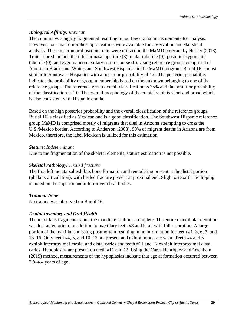## *Biological Affinity: Mexican*

The cranium was highly fragmented resulting in too few cranial measurements for analysis. However, four macromorphoscopic features were available for observation and statistical analysis. These macromorphoscopic traits were utilized in the MaMD program by Hefner (2018). Traits scored include the inferior nasal aperture (3), malar tubercle (0), posterior zygomatic tubercle (0), and zygomaticomaxillary suture course (0). Using reference groups comprised of American Blacks and Whites and Southwest Hispanics in the MaMD program, Burial 16 is most similar to Southwest Hispanics with a posterior probability of 1.0. The posterior probability indicates the probability of group membership based on the unknown belonging to one of the reference groups. The reference group overall classification is 75% and the posterior probability of the classification is 1.0. The overall morphology of the cranial vault is short and broad which is also consistent with Hispanic crania.

Based on the high posterior probability and the overall classification of the reference groups, Burial 16 is classified as Mexican and is a good classification. The Southwest Hispanic reference group MaMD is comprised mostly of migrants that died in Arizona attempting to cross the U.S./Mexico border. According to Anderson (2008), 90% of migrant deaths in Arizona are from Mexico, therefore, the label Mexican is utilized for this estimation.

## *Stature: Indeterminant*

Due to the fragmentation of the skeletal elements, stature estimation is not possible.

## *Skeletal Pathology: Healed fracture*

The first left metatarsal exhibits bone formation and remodeling present at the distal portion (phalanx articulation), with healed fracture present at proximal end. Slight osteoarthritic lipping is noted on the superior and inferior vertebral bodies.

## *Trauma: None*

No trauma was observed on Burial 16.

# *Dental Inventory and Oral Health*

<span id="page-31-0"></span>The maxilla is fragmentary and the mandible is almost complete. The entire mandibular dentition was lost antemortem, in addition to maxillary teeth #8 and 9, all with full resorption. A large portion of the maxilla is missing postmortem resulting in no information for teeth #1–3, 6, 7, and 13–16. Only teeth #4, 5, and 10–12 are present and exhibit moderate wear. Teeth #4 and 5 exhibit interproximal mesial and distal caries and teeth #11 and 12 exhibit interproximal distal caries. Hypoplasias are present on teeth #11 and 12. Using the Cares Henriquez and Oxenham (2019) method, measurements of the hypoplasias indicate that age at formation occurred between 2.8–4.4 years of age.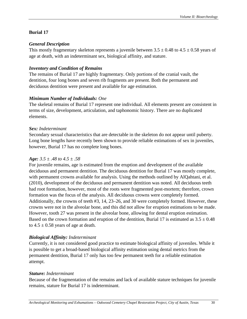## **Burial 17**

## *General Description*

This mostly fragmentary skeleton represents a juvenile between  $3.5 \pm 0.48$  to  $4.5 \pm 0.58$  years of age at death, with an indeterminant sex, biological affinity, and stature.

## *Inventory and Condition of Remains*

The remains of Burial 17 are highly fragmentary. Only portions of the cranial vault, the dentition, four long bones and seven rib fragments are present. Both the permanent and deciduous dentition were present and available for age estimation.

# *Minimum Number of Individuals: One*

The skeletal remains of Burial 17 represent one individual. All elements present are consistent in terms of size, development, articulation, and taphonomic history. There are no duplicated elements.

## *Sex: Indeterminant*

Secondary sexual characteristics that are detectable in the skeleton do not appear until puberty. Long bone lengths have recently been shown to provide reliable estimations of sex in juveniles, however, Burial 17 has no complete long bones.

## *Age: 3.5 ± .48 to 4.5 ± .58*

For juvenile remains, age is estimated from the eruption and development of the available deciduous and permanent dentition. The deciduous dentition for Burial 17 was mostly complete, with permanent crowns available for analysis. Using the methods outlined by AlQahtani, et al. (2010), development of the deciduous and permanent dentition was noted. All deciduous teeth had root formation, however, most of the roots were fragmented post-mortem; therefore, crown formation was the focus of the analysis. All deciduous crowns were completely formed. Additionally, the crowns of teeth #3, 14, 23–26, and 30 were completely formed. However, these crowns were not in the alveolar bone, and this did not allow for eruption estimations to be made. However, tooth 27 was present in the alveolar bone, allowing for dental eruption estimation. Based on the crown formation and eruption of the dentition, Burial 17 is estimated as  $3.5 \pm 0.48$ to  $4.5 \pm 0.58$  years of age at death.

# *Biological Affinity: Indeterminant*

Currently, it is not considered good practice to estimate biological affinity of juveniles. While it is possible to get a broad-based biological affinity estimation using dental metrics from the permanent dentition, Burial 17 only has too few permanent teeth for a reliable estimation attempt.

## *Stature: Indeterminant*

Because of the fragmentation of the remains and lack of available stature techniques for juvenile remains, stature for Burial 17 is indeterminant.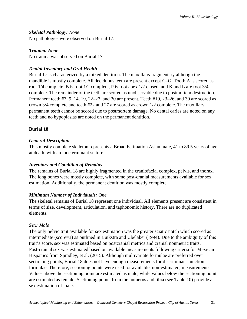# *Skeletal Pathology: None*

No pathologies were observed on Burial 17.

## *Trauma: None*

No trauma was observed on Burial 17.

# *Dental Inventory and Oral Health*

Burial 17 is characterized by a mixed dentition. The maxilla is fragmentary although the mandible is mostly complete. All deciduous teeth are present except C–G. Tooth A is scored as root 1/4 complete, B is root 1/2 complete, P is root apex 1/2 closed, and K and L are root 3/4 complete. The remainder of the teeth are scored as unobservable due to postmortem destruction. Permanent teeth #3, 9, 14, 19, 22–27, and 30 are present. Teeth #19, 23–26, and 30 are scored as crown 3/4 complete and teeth #22 and 27 are scored as crown 1/2 complete. The maxillary permanent teeth cannot be scored due to postmortem damage. No dental caries are noted on any teeth and no hypoplasias are noted on the permanent dentition.

## <span id="page-33-0"></span>**Burial 18**

## *General Description*

This mostly complete skeleton represents a Broad Estimation Asian male, 41 to 89.5 years of age at death, with an indeterminant stature.

## *Inventory and Condition of Remains*

The remains of Burial 18 are highly fragmented in the craniofacial complex, pelvis, and thorax. The long bones were mostly complete, with some post-cranial measurements available for sex estimation. Additionally, the permanent dentition was mostly complete.

# *Minimum Number of Individuals: One*

The skeletal remains of Burial 18 represent one individual. All elements present are consistent in terms of size, development, articulation, and taphonomic history. There are no duplicated elements.

# *Sex: Male*

The only pelvic trait available for sex estimation was the greater sciatic notch which scored as intermediate (score=3) as outlined in Buikstra and Ubelaker (1994). Due to the ambiguity of this trait's score, sex was estimated based on postcranial metrics and cranial nonmetric traits. Post-cranial sex was estimated based on available measurements following criteria for Mexican Hispanics from Spradley, et al. (2015). Although multivariate formulae are preferred over sectioning points, Burial 18 does not have enough measurements for discriminant function formulae. Therefore, sectioning points were used for available, non-estimated, measurements. Values above the sectioning point are estimated as male, while values below the sectioning point are estimated as female. Sectioning points from the humerus and tibia (see Table 10) provide a sex estimation of male.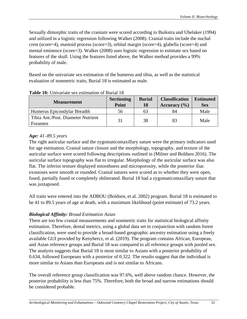Sexually dimorphic traits of the cranium were scored according to Buikstra and Ubelaker (1994) and utilized in a logistic regression following Walker (2008). Cranial traits include the nuchal crest (score=4), mastoid process (score=3), orbital margin (score=4), glabella (score=4) and mental eminence (score=3). Walker (2008) uses logistic regression to estimate sex based on features of the skull. Using the features listed above, the Walker method provides a 99% probability of male.

Based on the univariate sex estimation of the humerus and tibia, as well as the statistical evaluation of nonmetric traits, Burial 18 is estimated as male.

| <b>Measurement</b>                            | <b>Sectioning</b><br>Point | <b>Burial</b><br>18 | <b>Classification</b><br>Accuracy $(\% )$ | <b>Estimated</b><br><b>Sex</b> |
|-----------------------------------------------|----------------------------|---------------------|-------------------------------------------|--------------------------------|
| Humerus Epicondylar Breadth                   | 56                         | 63                  | 84                                        | Male                           |
| Tibia Ant./Post. Diameter Nutrient<br>Foramen | 31                         | 38                  | 83                                        | Male                           |

## **Table 10:** Univariate sex estimation of Burial 18

# *Age: 41–89.5 years*

The right auricular surface and the zygomaticomaxillary suture were the primary indicators used for age estimation. Cranial suture closure and the morphology, topography, and texture of the auricular surface were scored following descriptions outlined in (Milner and Boldsen 2016). The auricular surface topography was flat to irregular. Morphology of the auricular surface was also flat. The inferior texture displayed smoothness and microporosity, while the posterior iliac exostoses were smooth or rounded. Cranial sutures were scored as to whether they were open, fused, partially fused or completely obliterated. Burial 18 had a zygomaticomaxillary suture that was juxtaposed.

All traits were entered into the ADBOU (Boldsen, et al*.* 2002) program. Burial 18 is estimated to be 41 to 89.5 years of age at death, with a maximum likelihood (point estimate) of 73.2 years.

# *Biological Affinity: Broad Estimation Asian*

There are too few cranial measurements and nonmetric traits for statistical biological affinity estimation. Therefore, dental metrics, using a global data set in conjunction with random forest classification, were used to provide a broad-based geographic ancestry estimation using a freely available GUI provided by Kenyhercz, et al. (2019). The program contains African, European, and Asian reference groups and Burial 18 was compared to all reference groups with pooled sex. The analysis suggests that Burial 18 is most similar to Asians with a posterior probability of 0.634, followed Europeans with a posterior of 0.322. The results suggest that the individual is more similar to Asians than Europeans and is not similar to Africans.

The overall reference group classification was 97.6%, well above random chance. However, the posterior probability is less than 75%. Therefore, both the broad and narrow estimations should be considered probable.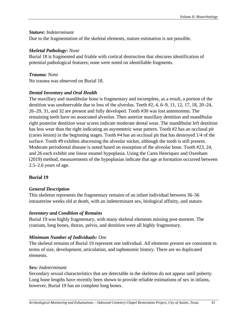## *Stature: Indeterminant*

Due to the fragmentation of the skeletal elements, stature estimation is not possible.

## *Skeletal Pathology***:** *None*

Burial 18 is fragmented and friable with cortical destruction that obscures identification of potential pathological features; none were noted on identifiable fragments.

# *Trauma: None*

No trauma was observed on Burial 18.

# *Dental Inventory and Oral Health*

The maxillary and mandibular bone is fragmentary and incomplete, as a result, a portion of the dentition was unobservable due to loss of the alveolus. Teeth #2, 4, 6–9, 11, 12, 17, 18, 20–24, 26–29, 31, and 32 are present and fully developed. Tooth #30 was lost antemortem. The remaining teeth have no associated alveolus. Then anterior maxillary dentition and mandibular right posterior dentition wear scores indicate moderate dental wear. The mandibular left dentition has less wear than the right indicating an asymmetric wear pattern. Tooth #2 has an occlusal pit (caries lesion) in the beginning stages. Tooth #4 has an occlusal pit that has destroyed 1/4 of the surface. Tooth #9 exhibits abscessing the alveolar socket, although the tooth is still present. Moderate periodontal disease is noted based on resorption of the alveolar bone. Tooth #23, 24, and 26 each exhibit one linear enamel hypoplasia. Using the Cares Henriquez and Oxenham (2019) method, measurements of the hypoplasias indicate that age at formation occurred between 2.5–2.6 years of age.

# <span id="page-35-0"></span>**Burial 19**

# *General Description*

This skeleton represents the fragmentary remains of an infant individual between 36–56 intrauterine weeks old at death, with an indeterminant sex, biological affinity, and stature.

# *Inventory and Condition of Remains*

Burial 19 was highly fragmentary, with many skeletal elements missing post-mortem. The cranium, long bones, thorax, pelvis, and dentition were all highly fragmentary.

# *Minimum Number of Individuals: One*

The skeletal remains of Burial 19 represent one individual. All elements present are consistent in terms of size, development, articulation, and taphonomic history. There are no duplicated elements.

# *Sex: Indeterminant*

Secondary sexual characteristics that are detectable in the skeleton do not appear until puberty. Long bone lengths have recently been shown to provide reliable estimations of sex in infants, however, Burial 19 has no complete long bones.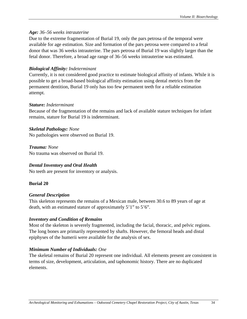### *Age: 36–56 weeks intrauterine*

Due to the extreme fragmentation of Burial 19, only the pars petrosa of the temporal were available for age estimation. Size and formation of the pars petrosa were compared to a fetal donor that was 36 weeks intrauterine. The pars petrosa of Burial 19 was slightly larger than the fetal donor. Therefore, a broad age range of 36–56 weeks intrauterine was estimated.

# *Biological Affinity: Indeterminant*

Currently, it is not considered good practice to estimate biological affinity of infants. While it is possible to get a broad-based biological affinity estimation using dental metrics from the permanent dentition, Burial 19 only has too few permanent teeth for a reliable estimation attempt.

### *Stature: Indeterminant*

Because of the fragmentation of the remains and lack of available stature techniques for infant remains, stature for Burial 19 is indeterminant.

### *Skeletal Pathology: None*

No pathologies were observed on Burial 19.

*Trauma: None* No trauma was observed on Burial 19.

# *Dental Inventory and Oral Health*

No teeth are present for inventory or analysis.

# **Burial 20**

# *General Description*

This skeleton represents the remains of a Mexican male, between 30.6 to 89 years of age at death, with an estimated stature of approximately 5'1" to 5'6"*.* 

# *Inventory and Condition of Remains*

Most of the skeleton is severely fragmented, including the facial, thoracic, and pelvic regions. The long bones are primarily represented by shafts. However, the femoral heads and distal epiphyses of the humerii were available for the analysis of sex.

# *Minimum Number of Individuals: One*

The skeletal remains of Burial 20 represent one individual. All elements present are consistent in terms of size, development, articulation, and taphonomic history. There are no duplicated elements.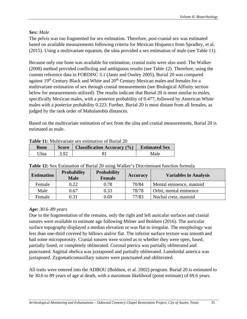# *Sex: Male*

The pelvis was too fragmented for sex estimation. Therefore, post-cranial sex was estimated based on available measurements following criteria for Mexican Hispanics from Spradley, et al. (2015). Using a multivariate equation, the ulna provided a sex estimation of male (see Table 11).

Because only one bone was available for estimation, cranial traits were also used. The Walker (2008) method provided conflicting and ambiguous results (see Table 12). Therefore, using the custom reference data in FORDISC 3.1 (Jantz and Ousley 2005), Burial 20 was compared against 19<sup>th</sup> Century Black and White and 20<sup>th</sup> Century Mexican males and females for a multivariate estimation of sex through cranial measurements (see Biological Affinity section below for measurements utilized). The results indicate that Burial 20 is most similar to males, specifically Mexican males, with a posterior probability of 0.477, followed by American White males with a posterior probability 0.223. Further, Burial 20 is most distant from all females, as judged by the rank order of Mahalanobis distances.

Based on the multivariate estimation of sex from the ulna and cranial measurements, Burial 20 is estimated as male.

| <b>Table 11.</b> International Sex Commandit of Duffal Zo |      |                                               |                      |  |  |  |
|-----------------------------------------------------------|------|-----------------------------------------------|----------------------|--|--|--|
| <b>Bone</b>                                               |      | <b>Score</b>   Classification Accuracy $(\%)$ | <b>Estimated Sex</b> |  |  |  |
| 'Jlna                                                     | 3.92 |                                               | Male                 |  |  |  |

| <b>Table 11:</b> Multivariate sex estimation of Burial 20 |  |  |  |
|-----------------------------------------------------------|--|--|--|
|                                                           |  |  |  |

| <b>Estimation</b> | <b>Probability</b><br><b>Male</b> | <b>Probability</b><br><b>Female</b> | <b>Accuracy</b> | <b>Variables in Analysis</b> |
|-------------------|-----------------------------------|-------------------------------------|-----------------|------------------------------|
| Female            | 0.22                              | 0.78                                | 70/84           | Mental eminence, mastoid     |
| Male              | 0.67                              | 0.33                                | 78/78           | Orbit, mental eminence       |
| Female            | 0.31                              | 0.69                                | 77/83           | Nuchal crest, mastoid        |

# **Table 12:** Sex Estimation of Burial 20 using Walker's Discriminant function formula

### *Age: 30.6–89 years*

Due to the fragmentation of the remains, only the right and left auricular surfaces and cranial sutures were available to estimate age following Milner and Boldsen (2016). The auricular surface topography displayed a median elevation or was flat to irregular. The morphology was less than one-third covered by billows and/or flat. The inferior surface texture was smooth and had some microporosity. Cranial sutures were scored as to whether they were open, fused, partially fused, or completely obliterated. Coronal pterica was partially obliterated and punctuated. Sagittal obelica was juxtaposed and partially obliterated. Lamdoidal asterica was juxtaposed. Zygomaticomaxillary sutures were punctuated and obliterated.

All traits were entered into the ADBOU (Boldsen, et al*.* 2002) program. Burial 20 is estimated to be 30.6 to 89 years of age at death, with a maximum likelihood (point estimate) of 69.6 years.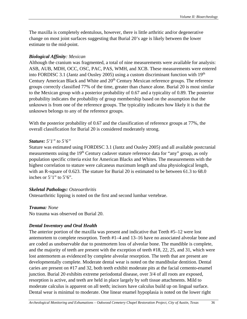The maxilla is completely edentulous, however, there is little arthritic and/or degenerative change on most joint surfaces suggesting that Burial 20's age is likely between the lower estimate to the mid-point.

# *Biological Affinity: Mexican*

Although the cranium was fragmented, a total of nine measurements were available for analysis: ASB, AUB, MDH, OCC, OSC, PAC, PAS, WMH, and XCB. These measurements were entered into FORDISC 3.1 (Jantz and Ousley 2005) using a custom discriminant function with 19th Century American Black and White and 20<sup>th</sup> Century Mexican reference groups. The reference groups correctly classified 77% of the time, greater than chance alone. Burial 20 is most similar to the Mexican group with a posterior probability of 0.67 and a typicality of 0.89. The posterior probability indicates the probability of group membership based on the assumption that the unknown is from one of the reference groups. The typicality indicates how likely it is that the unknown belongs to any of the reference groups.

With the posterior probability of 0.67 and the classification of reference groups at 77%, the overall classification for Burial 20 is considered moderately strong.

### *Stature: 5'1" to 5'6"*

Stature was estimated using FORDISC 3.1 (Jantz and Ousley 2005) and all available postcranial measurements using the 19<sup>th</sup> Century cadaver stature reference data for "any" group, as only population specific criteria exist for American Blacks and Whites. The measurements with the highest correlation to stature were calcaneus maximum length and ulna physiological length, with an R-square of 0.623. The stature for Burial 20 is estimated to be between 61.3 to 68.0 inches or  $5'1''$  to  $5'6''$ .

# *Skeletal Pathology: Osteoarthritis*

Osteoarthritic lipping is noted on the first and second lumbar vertebrae.

# *Trauma: None*

No trauma was observed on Burial 20.

# *Dental Inventory and Oral Health*

The anterior portion of the maxilla was present and indicative that Teeth #5–12 were lost antemortem to complete resorption. Teeth #1–4 and 13–16 have no associated alveolar bone and are coded as unobservable due to postmortem loss of alveolar bone. The mandible is complete, and the majority of teeth are present with the exception of teeth #18, 22, 25, and 31, which were lost antemortem as evidenced by complete alveolar resorption. The teeth that are present are developmentally complete. Moderate dental wear is noted on the mandibular dentition. Dental caries are present on #17 and 32, both teeth exhibit moderate pits at the facial cemento-enamel junction. Burial 20 exhibits extreme periodontal disease, over 3/4 of all roots are exposed, resorption is active, and teeth are held in place largely by soft tissue attachments. Mild to moderate calculus is apparent on all teeth; incisors have calculus build up on lingual surface. Dental wear is minimal to moderate. One linear enamel hypoplasia is noted on the lower right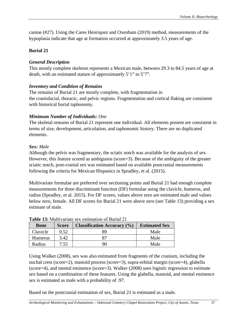canine (#27). Using the Cares Henriquez and Oxenham (2019) method, measurements of the hypoplasia indicate that age at formation occurred at approximately 3.5 years of age.

# **Burial 21**

### *General Description*

This mostly complete skeleton represents a Mexican male, between 29.3 to 84.5 years of age at death, with an estimated stature of approximately 5'1" to 5'7".

### *Inventory and Condition of Remains*

The remains of Burial 21 are mostly complete, with fragmentation in the craniofacial, thoracic, and pelvic regions. Fragmentation and cortical flaking are consistent with historical burial taphonomy.

### *Minimum Number of Individuals: One*

The skeletal remains of Burial 21 represent one individual. All elements present are consistent in terms of size, development, articulation, and taphonomic history. There are no duplicated elements.

### *Sex: Male*

Although the pelvis was fragmentary, the sciatic notch was available for the analysis of sex. However, this feature scored as ambiguous (score=3). Because of the ambiguity of the greater sciatic notch, post-cranial sex was estimated based on available postcranial measurements following the criteria for Mexican Hispanics in Spradley, et al. (2015).

Multivariate formulae are preferred over sectioning points and Burial 21 had enough complete measurements for three discriminant function (DF) formulae using the clavicle, humerus, and radius (Spradley, et al. 2015). For DF scores, values above zero are estimated male and values below zero, female. All DF scores for Burial 21 were above zero (see Table 13) providing a sex estimate of male.

| <b>Bone</b>    | <b>Score</b> | <b>Classification Accuracy (%)</b> | <b>Estimated Sex</b> |
|----------------|--------------|------------------------------------|----------------------|
| Clavicle       | 0.52         | gΟ                                 | Male                 |
| <b>Humerus</b> | 3.42         |                                    | Male                 |
| Radius         | 7.55         | ۹Λ                                 | Male                 |

#### **Table 13:** Multivariate sex estimation of Burial 21

Using Walker (2008), sex was also estimated from fragments of the cranium, including the nuchal crest (score=2), mastoid process (score=3), supra-orbital margin (score=4), glabella (score=4), and mental eminence (score=3). Walker (2008) uses logistic regression to estimate sex based on a combination of these features. Using the glabella, mastoid, and mental eminence sex is estimated as male with a probability of .97.

Based on the postcranial estimation of sex, Burial 21 is estimated as a male.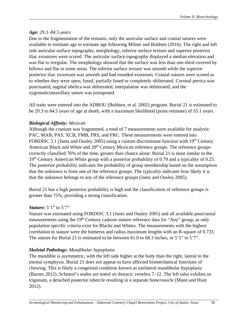# *Age: 29.3–84.5 years*

Due to the fragmentation of the remains, only the auricular surface and cranial sutures were available to estimate age to estimate age following Milner and Boldsen (2016). The right and left side auricular surface topography, morphology, inferior surface texture and superior posterior iliac exostoses were scored. The auricular surface topography displayed a median elevation and was flat to irregular. The morphology showed that the surface was less than one-third covered by billows and flat in some areas. The inferior surface texture was smooth while the superior posterior iliac exostoses was smooth and had rounded exostoses. Cranial sutures were scored as to whether they were open, fused, partially fused or completely obliterated. Coronal pterica was punctuated, sagittal obelica was obliterated, interpalatine was obliterated, and the zygomaticomaxillary suture was juxtaposed.

All traits were entered into the ADBOU (Boldsen, et al*.* 2002) program. Burial 21 is estimated to be 29.3 to 84.5 years of age at death, with a maximum likelihood (point estimate) of 55.1 years.

### *Biological Affinity: Mexican*

Although the cranium was fragmented, a total of 7 measurements were available for analysis: PAC, MAB, PAS, XCB, FMB, FRS, and FRC. These measurements were entered into FORDISC 3.1 (Jantz and Ousley 2005) using a custom discriminant function with  $19<sup>th</sup>$  Century American Black and White and  $20<sup>th</sup>$  Century Mexican reference groups. The reference groups correctly classified 76% of the time, greater than chance alone. Burial 21 is most similar to the 19<sup>th</sup> Century American White group with a posterior probability of 0.79 and a typicality of 0.25. The posterior probability indicates the probability of group membership based on the assumption that the unknown is from one of the reference groups. The typicality indicates how likely it is that the unknown belongs to any of the reference groups (Jantz and Ousley 2005).

Burial 21 has a high posterior probability is high and the classification of reference groups is greater than 75%, providing a strong classification.

### *Stature:* 5'1" to 5'7"

Stature was estimated using FORDISC 3.1 (Jantz and Ousley 2005) and all available postcranial measurements using the 19<sup>th</sup> Century cadaver stature reference data for "Any" group, as only population specific criteria exist for Blacks and Whites. The measurements with the highest correlation to stature were the humerus and radius maximum lengths with an R-square of 0.733. The stature for Burial 21 is estimated to be between 61.0 to 68.3 inches, or 5'1" to 5'7".

# *Skeletal Pathology: Mandibular hypoplasia*

The mandible is asymmetric, with the left side higher at the body than the right, lateral to the mental symphysis. Burial 21 does not appear to have affected biomechanical functions of chewing. This is likely a congenital condition known as unilateral mandibular hypoplasia (Barnes 2012). Schmorl's nodes are noted on thoracic vertebra 7–12. The left talus exhibits os trigonum, a detached posterior tubercle resulting in a separate bone/ossicle (Mann and Hunt 2012).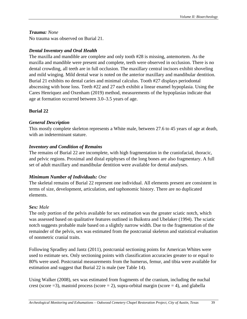### *Trauma: None*

No trauma was observed on Burial 21.

# *Dental Inventory and Oral Health*

The maxilla and mandible are complete and only tooth #28 is missing, antemortem. As the maxilla and mandible were present and complete, teeth were observed in occlusion. There is no dental crowding, all teeth are in full occlusion. The maxillary central incisors exhibit shoveling and mild winging. Mild dental wear is noted on the anterior maxillary and mandibular dentition. Burial 21 exhibits no dental caries and minimal calculus. Tooth #27 displays periodontal abscessing with bone loss. Teeth #22 and 27 each exhibit a linear enamel hypoplasia. Using the Cares Henriquez and Oxenham (2019) method, measurements of the hypoplasias indicate that age at formation occurred between 3.0–3.5 years of age.

### **Burial 22**

### *General Description*

This mostly complete skeleton represents a White male, between 27.6 to 45 years of age at death, with an indeterminant stature.

### *Inventory and Condition of Remains*

The remains of Burial 22 are incomplete, with high fragmentation in the craniofacial, thoracic, and pelvic regions. Proximal and distal epiphyses of the long bones are also fragmentary. A full set of adult maxillary and mandibular dentition were available for dental analyses.

# *Minimum Number of Individuals: One*

The skeletal remains of Burial 22 represent one individual. All elements present are consistent in terms of size, development, articulation, and taphonomic history. There are no duplicated elements.

# *Sex: Male*

The only portion of the pelvis available for sex estimation was the greater sciatic notch, which was assessed based on qualitative features outlined in Buikstra and Ubelaker (1994). The sciatic notch suggests probable male based on a slightly narrow width. Due to the fragmentation of the remainder of the pelvis, sex was estimated from the postcranial skeleton and statistical evaluation of nonmetric cranial traits.

Following Spradley and Jantz (2011), postcranial sectioning points for American Whites were used to estimate sex. Only sectioning points with classification accuracies greater to or equal to 80% were used. Postcranial measurements from the humerus, femur, and tibia were available for estimation and suggest that Burial 22 is male (see Table 14).

Using Walker (2008), sex was estimated from fragments of the cranium, including the nuchal crest (score  $=3$ ), mastoid process (score  $= 2$ ), supra-orbital margin (score  $= 4$ ), and glabella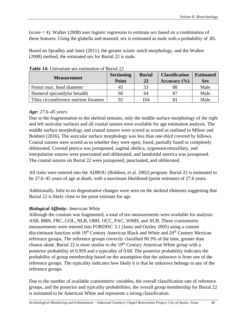(score = 4). Walker (2008) uses logistic regression to estimate sex based on a combination of these features. Using the glabella and mastoid, sex is estimated as male with a probability of .85.

Based on Spradley and Jantz (2011), the greater sciatic notch morphology, and the Walker (2008) method, the estimated sex for Burial 22 is male.

| <b>Measurement</b>                   | <b>Sectioning</b><br>Point | <b>Burial</b><br>22 | <b>Classification</b><br>Accuracy $(\% )$ | <b>Estimated</b><br><b>Sex</b> |
|--------------------------------------|----------------------------|---------------------|-------------------------------------------|--------------------------------|
| Femur max. head diameter             | 45                         | 53                  | 88                                        | Male                           |
| Humeral epicondylar breadth          | 60                         | 64                  | 87                                        | Male                           |
| Tibia circumference nutrient foramen | 92                         | 104                 |                                           | Male                           |

**Table 14:** Univariate sex estimation of Burial 22

# *Age: 27.6–45 years*

Due to the fragmentation to the skeletal remains, only the middle surface morphology of the right and left auricular surfaces and all cranial sutures were available for age estimation analysis. The middle surface morphology and cranial sutures were scored as scored as outlined in Milner and Boldsen (2016). The auricular surface morphology was less than one-third covered by billows. Cranial sutures were scored as to whether they were open, fused, partially fused or completely obliterated. Coronal pterica was juxtaposed, sagittal obelica, zygomaticomaxillary, and interpalatine sutures were punctuated and obliterated, and lamdoidal asterica was juxtaposed. The cranial sutures on Burial 22 were juxtaposed, punctuated, and obliterated.

All traits were entered into the ADBOU (Boldsen, et al. 2002) program. Burial 22 is estimated to be 27.6–45 years of age at death, with a maximum likelihood (point estimate) of 27.6 years.

Additionally, little to no degenerative changes were seen on the skeletal elements suggesting that Burial 22 is likely close to the point estimate for age.

# *Biological Affinity: American White*

Although the cranium was fragmented, a total of ten measurements were available for analysis: ASB, BBH, FRC, GOL, NLB, OBH, OCC, PAC, WMH, and XCB. These craniometric measurements were entered into FORDISC 3.1 (Jantz and Ousley 2005) using a custom discriminant function with 19<sup>th</sup> Century American Black and White and 20<sup>th</sup> Century Mexican reference groups. The reference groups correctly classified 90.3% of the time, greater than chance alone. Burial 22 is most similar to the  $19<sup>th</sup>$  Century American White group with a posterior probability of 0.959 and a typicality of 0.60. The posterior probability indicates the probability of group membership based on the assumption that the unknown is from one of the reference groups. The typicality indicates how likely it is that he unknown belongs to any of the reference groups.

Due to the number of available craniometric variables, the overall classification rate of reference groups, and the posterior and typicality probabilities, the overall group membership for Burial 22 is estimated to be American White and represents a strong classification.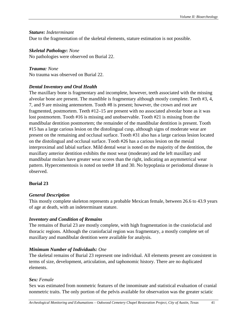### *Stature: Indeterminant*

Due to the fragmentation of the skeletal elements, stature estimation is not possible.

### *Skeletal Pathology***:** *None*

No pathologies were observed on Burial 22.

#### *Trauma: None* No trauma was observed on Burial 22.

# *Dental Inventory and Oral Health*

The maxillary bone is fragmentary and incomplete, however, teeth associated with the missing alveolar bone are present. The mandible is fragmentary although mostly complete. Teeth #3, 4, 7, and 9 are missing antemortem. Tooth #8 is present; however, the crown and root are fragmented, postmortem. Teeth #12–15 are present with no associated alveolar bone as it was lost postmortem. Tooth #16 is missing and unobservable. Tooth #21 is missing from the mandibular dentition postmortem; the remainder of the mandibular dentition is present. Tooth #15 has a large carious lesion on the distolingual cusp, although signs of moderate wear are present on the remaining and occlusal surface. Tooth #31 also has a large carious lesion located on the distolingual and occlusal surface. Tooth #26 has a carious lesion on the mesial interproximal and labial surface. Mild dental wear is noted on the majority of the dentition, the maxillary anterior dentition exhibits the most wear (moderate) and the left maxillary and mandibular molars have greater wear scores than the right, indicating an asymmetrical wear pattern. Hypercementosis is noted on teeth# 18 and 30. No hypoplasia or periodontal disease is observed.

# **Burial 23**

# *General Description*

This mostly complete skeleton represents a probable Mexican female, between 26.6 to 43.9 years of age at death, with an indeterminant stature.

# *Inventory and Condition of Remains*

The remains of Burial 23 are mostly complete, with high fragmentation in the craniofacial and thoracic regions. Although the craniofacial region was fragmentary, a mostly complete set of maxillary and mandibular dentition were available for analysis.

# *Minimum Number of Individuals: One*

The skeletal remains of Burial 23 represent one individual. All elements present are consistent in terms of size, development, articulation, and taphonomic history. There are no duplicated elements.

# *Sex: Female*

Sex was estimated from nonmetric features of the innominate and statistical evaluation of cranial nonmetric traits. The only portion of the pelvis available for observation was the greater sciatic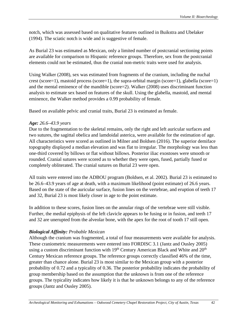notch, which was assessed based on qualitative features outlined in Buikstra and Ubelaker (1994). The sciatic notch is wide and is suggestive of female.

As Burial 23 was estimated as Mexican, only a limited number of postcranial sectioning points are available for comparison to Hispanic reference groups. Therefore, sex from the postcranial elements could not be estimated, thus the cranial non-metric traits were used for analysis.

Using Walker (2008), sex was estimated from fragments of the cranium, including the nuchal crest (score=1), mastoid process (score=1), the supra-orbital margin (score=1), glabella (score=1) and the mental eminence of the mandible (score=2). Walker (2008) uses discriminant function analysis to estimate sex based on features of the skull. Using the glabella, mastoid, and mental eminence, the Walker method provides a 0.99 probability of female.

Based on available pelvic and cranial traits, Burial 23 is estimated as female.

### *Age: 26.6–43.9 years*

Due to the fragmentation to the skeletal remains, only the right and left auricular surfaces and two sutures, the sagittal obelica and lamdoidal asterica, were available for the estimation of age. All characteristics were scored as outlined in Milner and Boldsen (2016). The superior demiface topography displayed a median elevation and was flat to irregular. The morphology was less than one-third covered by billows or flat without billows. Posterior iliac exostoses were smooth or rounded. Cranial sutures were scored as to whether they were open, fused, partially fused or completely obliterated. The cranial sutures on Burial 23 were open.

All traits were entered into the ADBOU program (Boldsen, et al. 2002). Burial 23 is estimated to be 26.6–43.9 years of age at death, with a maximum likelihood (point estimate) of 26.6 years. Based on the state of the auricular surface, fusion lines on the vertebrae, and eruption of teeth 17 and 32, Burial 23 is most likely closer in age to the point estimate.

In addition to these scores, fusion lines on the annular rings of the vertebrae were still visible. Further, the medial epiphysis of the left clavicle appears to be fusing or in fusion, and teeth 17 and 32 are unerupted from the alveolar bone, with the apex for the root of tooth 17 still open.

# *Biological Affinity: Probable Mexican*

Although the cranium was fragmented, a total of four measurements were available for analysis. These craniometric measurements were entered into FORDISC 3.1 (Jantz and Ousley 2005) using a custom discriminant function with  $19<sup>th</sup>$  Century American Black and White and  $20<sup>th</sup>$ Century Mexican reference groups. The reference groups correctly classified 46% of the time, greater than chance alone. Burial 23 is most similar to the Mexican group with a posterior probability of 0.72 and a typicality of 0.36. The posterior probability indicates the probability of group membership based on the assumption that the unknown is from one of the reference groups. The typicality indicates how likely it is that he unknown belongs to any of the reference groups (Jantz and Ousley 2005).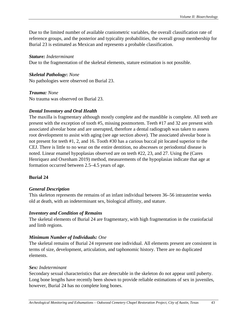Due to the limited number of available craniometric variables, the overall classification rate of reference groups, and the posterior and typicality probabilities, the overall group membership for Burial 23 is estimated as Mexican and represents a probable classification.

### *Stature: Indeterminant*

Due to the fragmentation of the skeletal elements, stature estimation is not possible.

#### *Skeletal Pathology***:** *None*  No pathologies were observed on Burial 23.

*Trauma: None* No trauma was observed on Burial 23.

# *Dental Inventory and Oral Health*

The maxilla is fragmentary although mostly complete and the mandible is complete. All teeth are present with the exception of tooth #5, missing postmortem. Teeth #17 and 32 are present with associated alveolar bone and are unerupted, therefore a dental radiograph was taken to assess root development to assist with aging (see age section above). The associated alveolar bone is not present for teeth #1, 2, and 16. Tooth #30 has a carious buccal pit located superior to the CEJ. There is little to no wear on the entire dentition, no abscesses or periodontal disease is noted. Linear enamel hypoplasias observed are on teeth #22, 23, and 27. Using the (Cares Henriquez and Oxenham 2019) method, measurements of the hypoplasias indicate that age at formation occurred between 2.5–4.5 years of age.

# **Burial 24**

# *General Description*

This skeleton represents the remains of an infant individual between 36–56 intrauterine weeks old at death, with an indeterminant sex, biological affinity, and stature.

### *Inventory and Condition of Remains*

The skeletal elements of Burial 24 are fragmentary, with high fragmentation in the craniofacial and limb regions.

# *Minimum Number of Individuals: One*

The skeletal remains of Burial 24 represent one individual. All elements present are consistent in terms of size, development, articulation, and taphonomic history. There are no duplicated elements.

### *Sex: Indeterminant*

Secondary sexual characteristics that are detectable in the skeleton do not appear until puberty. Long bone lengths have recently been shown to provide reliable estimations of sex in juveniles, however, Burial 24 has no complete long bones.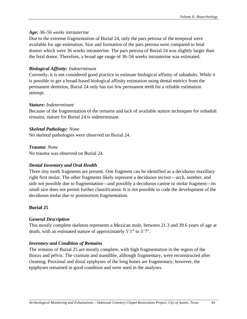### *Age: 36–56 weeks intrauterine*

Due to the extreme fragmentation of Burial 24, only the pars petrosa of the temporal were available for age estimation. Size and formation of the pars petrosa were compared to fetal donors which were 36 weeks intrauterine. The pars petrosa of Burial 24 was slightly larger than the fetal donor. Therefore, a broad age range of 36–56 weeks intrauterine was estimated.

# *Biological Affinity: Indeterminant*

Currently, it is not considered good practice to estimate biological affinity of subadults. While it is possible to get a broad-based biological affinity estimation using dental metrics from the permanent dentition, Burial 24 only has too few permanent teeth for a reliable estimation attempt.

### *Stature: Indeterminant*

Because of the fragmentation of the remains and lack of available stature techniques for subadult remains, stature for Burial 24 is indeterminant.  

# *Skeletal Pathology: None*

No skeletal pathologies were observed on Burial 24.

### *Trauma*: *None*

No trauma was observed on Burial 24.

# *Dental Inventory and Oral Health*

Three tiny tooth fragments are present. One fragment can be identified as a deciduous maxillary right first molar. The other fragments likely represent a deciduous incisor—arch, number, and side not possible due to fragmentation—and possibly a deciduous canine or molar fragment—its small size does not permit further classification. It is not possible to code the development of the deciduous molar due to postmortem fragmentation.

# **Burial 25**

# *General Description*

This mostly complete skeleton represents a Mexican male, between 21.3 and 39.6 years of age at death, with an estimated stature of approximately 5'1" to 5'7".

# *Inventory and Condition of Remains*

The remains of Burial 25 are mostly complete, with high fragmentation in the region of the thorax and pelvis. The cranium and mandible, although fragmentary, were reconstructed after cleaning. Proximal and distal epiphyses of the long bones are fragmentary; however, the epiphyses remained in good condition and were used in the analyses.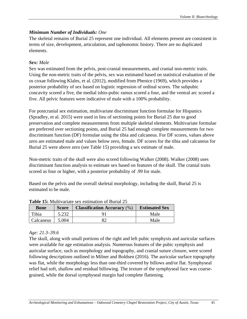# *Minimum Number of Individuals: One*

The skeletal remains of Burial 25 represent one individual. All elements present are consistent in terms of size, development, articulation, and taphonomic history. There are no duplicated elements.

# *Sex: Male*

Sex was estimated from the pelvis, post-cranial measurements, and cranial non-metric traits. Using the non-metric traits of the pelvis, sex was estimated based on statistical evaluation of the os coxae following Klales, et al. (2012), modified from Phenice (1969), which provides a posterior probability of sex based on logistic regression of ordinal scores. The subpubic concavity scored a five, the medial ishio-pubic ramus scored a four, and the ventral arc scored a five. All pelvic features were indicative of male with a 100% probability.

For postcranial sex estimation, multivariate discriminant function formulae for Hispanics (Spradley, et al. 2015) were used in lieu of sectioning points for Burial 25 due to good preservation and complete measurements from multiple skeletal elements. Multivariate formulae are preferred over sectioning points, and Burial 25 had enough complete measurements for two discriminant function (DF) formulae using the tibia and calcaneus. For DF scores, values above zero are estimated male and values below zero, female. DF scores for the tibia and calcaneus for Burial 25 were above zero (see Table 15) providing a sex estimate of male.

Non-metric traits of the skull were also scored following Walker (2008). Walker (2008) uses discriminant function analysis to estimate sex based on features of the skull. The cranial traits scored as four or higher, with a posterior probability of .99 for male.

Based on the pelvis and the overall skeletal morphology, including the skull, Burial 25 is estimated to be male.

|             | <b>Table 19.</b> India variate sex estimation of Durial 29 |                                    |                      |  |  |  |  |
|-------------|------------------------------------------------------------|------------------------------------|----------------------|--|--|--|--|
| <b>Bone</b> | <b>Score</b>                                               | <b>Classification Accuracy (%)</b> | <b>Estimated Sex</b> |  |  |  |  |
| Tibia       | 5.232                                                      |                                    | Male                 |  |  |  |  |
| Calcaneus   | 5.004                                                      |                                    | Male                 |  |  |  |  |

**Table 15:** Multivariate sex estimation of Burial 25

# *Age: 21.3–39.6*

The skull, along with small portions of the right and left pubic symphysis and auricular surfaces were available for age estimation analysis. Numerous features of the pubic symphysis and auricular surface, such as morphology and topography, and cranial suture closure, were scored following descriptions outlined in Milner and Boldsen (2016). The auricular surface topography was flat, while the morphology less than one-third covered by billows and/or flat. Symphyseal relief had soft, shallow and residual billowing. The texture of the symphyseal face was coarsegrained, while the dorsal symphyseal margin had complete flattening.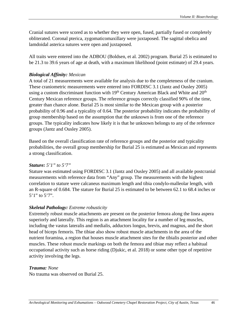Cranial sutures were scored as to whether they were open, fused, partially fused or completely obliterated. Coronal pterica, zygomaticomaxillary were juxtaposed. The sagittal obelica and lamdoidal asterica sutures were open and juxtaposed.

All traits were entered into the ADBOU (Boldsen, et al*.* 2002) program. Burial 25 is estimated to be 21.3 to 39.6 years of age at death, with a maximum likelihood (point estimate) of 29.4 years.

### *Biological Affinity: Mexican*

A total of 21 measurements were available for analysis due to the completeness of the cranium. These craniometric measurements were entered into FORDISC 3.1 (Jantz and Ousley 2005) using a custom discriminant function with  $19<sup>th</sup>$  Century American Black and White and  $20<sup>th</sup>$ Century Mexican reference groups. The reference groups correctly classified 90% of the time, greater than chance alone. Burial 25 is most similar to the Mexican group with a posterior probability of 0.96 and a typicality of 0.64. The posterior probability indicates the probability of group membership based on the assumption that the unknown is from one of the reference groups. The typicality indicates how likely it is that he unknown belongs to any of the reference groups (Jantz and Ousley 2005).

Based on the overall classification rate of reference groups and the posterior and typicality probabilities, the overall group membership for Burial 25 is estimated as Mexican and represents a strong classification.

#### *Stature: 5'1" to 5'7"*

Stature was estimated using FORDISC 3.1 (Jantz and Ousley 2005) and all available postcranial measurements with reference data from "Any" group. The measurements with the highest correlation to stature were calcaneus maximum length and tibia condylo-malleolar length, with an R-square of 0.684. The stature for Burial 25 is estimated to be between 62.1 to 68.4 inches or 5'1" to 5'7".

### *Skeletal Pathology: Extreme robusticity*

Extremely robust muscle attachments are present on the posterior femora along the linea aspera superiorly and laterally. This region is an attachment locality for a number of leg muscles, including the vastus lateralis and medialis, adductors longus, brevis, and magnus, and the short head of biceps femoris. The tibiae also show robust muscle attachments in the area of the nutrient foramina, a region that houses muscle attachment sites for the tibialis posterior and other muscles. These robust muscle markings on both the femora and tibiae may reflect a habitual occupational activity such as horse riding (Djukic, et al. 2018) or some other type of repetitive activity involving the legs.

#### *Trauma: None*

No trauma was observed on Burial 25.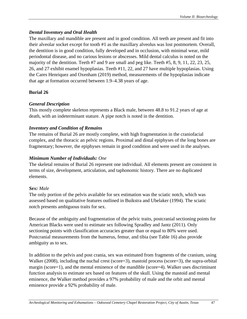# *Dental Inventory and Oral Health*

The maxillary and mandible are present and in good condition. All teeth are present and fit into their alveolar socket except for tooth #1 as the maxillary alveolus was lost postmortem. Overall, the dentition is in good condition, fully developed and in occlusion, with minimal wear, mild periodontal disease, and no carious lesions or abscesses. Mild dental calculus is noted on the majority of the dentition. Teeth #7 and 9 are small and peg like. Teeth #5, 8, 9, 11, 22, 23, 25, 26, and 27 exhibit enamel hypoplasias. Teeth #11, 22, and 27 have multiple hypoplasias. Using the Cares Henriquez and Oxenham (2019) method, measurements of the hypoplasias indicate that age at formation occurred between 1.9–4.38 years of age.

# **Burial 26**

# *General Description*

This mostly complete skeleton represents a Black male, between 48.8 to 91.2 years of age at death, with an indeterminant stature. A pipe notch is noted in the dentition.

# *Inventory and Condition of Remains*

The remains of Burial 26 are mostly complete, with high fragmentation in the craniofacial complex, and the thoracic an pelvic regions. Proximal and distal epiphyses of the long bones are fragmentary; however, the epiphyses remain in good condition and were used in the analyses.

# *Minimum Number of Individuals: One*

The skeletal remains of Burial 26 represent one individual. All elements present are consistent in terms of size, development, articulation, and taphonomic history. There are no duplicated elements.

# *Sex: Male*

The only portion of the pelvis available for sex estimation was the sciatic notch, which was assessed based on qualitative features outlined in Buikstra and Ubelaker (1994). The sciatic notch presents ambiguous traits for sex.

Because of the ambiguity and fragmentation of the pelvic traits, postcranial sectioning points for American Blacks were used to estimate sex following Spradley and Jantz (2011). Only sectioning points with classification accuracies greater than or equal to 80% were used. Postcranial measurements from the humerus, femur, and tibia (see Table 16) also provide ambiguity as to sex.

In addition to the pelvis and post crania, sex was estimated from fragments of the cranium, using Walker (2008), including the nuchal crest (score=3), mastoid process (score=3), the supra-orbital margin (score=1), and the mental eminence of the mandible (score=4). Walker uses discriminant function analysis to estimate sex based on features of the skull. Using the mastoid and mental eminence, the Walker method provides a 97% probability of male and the orbit and mental eminence provide a 92% probability of male.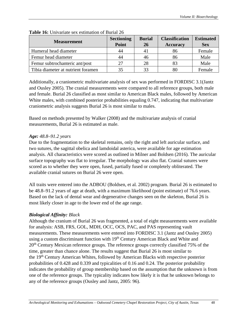| <b>Measurement</b>                 | <b>Sectioning</b> | <b>Burial</b> | <b>Classification</b> | <b>Estimated</b> |
|------------------------------------|-------------------|---------------|-----------------------|------------------|
|                                    | Point             | 26            | <b>Accuracy</b>       | <b>Sex</b>       |
| Humeral head diameter              | 44                | 41            | 86                    | Female           |
| Femur head diameter                | 44                | 46            | 86                    | Male             |
| Femur subtrochanteric ant/post     | 27                | 28            |                       | Male             |
| Tibia diameter at nutrient foramen | 35                | 33            |                       | Female           |

#### **Table 16:** Univariate sex estimation of Burial 26

Additionally, a craniometric multivariate analysis of sex was performed in FORDISC 3.1(Jantz and Ousley 2005). The cranial measurements were compared to all reference groups, both male and female. Burial 26 classified as most similar to American Black males, followed by American White males, with combined posterior probabilities equaling 0.747, indicating that multivariate craniometric analysis suggests Burial 26 is most similar to males.

Based on methods presented by Walker (2008) and the multivariate analysis of cranial measurements, Burial 26 is estimated as male.

### *Age: 48.8–91.2 years*

Due to the fragmentation to the skeletal remains, only the right and left auricular surface, and two sutures, the sagittal obelica and lamdoidal asterica, were available for age estimation analysis. All characteristics were scored as outlined in Milner and Boldsen (2016). The auricular surface topography was flat to irregular. The morphology was also flat. Cranial sutures were scored as to whether they were open, fused, partially fused or completely obliterated. The available cranial sutures on Burial 26 were open.

All traits were entered into the ADBOU (Boldsen, et al*.* 2002) program. Burial 26 is estimated to be 48.8–91.2 years of age at death, with a maximum likelihood (point estimate) of 76.6 years. Based on the lack of dental wear and degenerative changes seen on the skeleton, Burial 26 is most likely closer in age to the lower end of the age range.

# *Biological Affinity: Black*

Although the cranium of Burial 26 was fragmented, a total of eight measurements were available for analysis: ASB, FRS, GOL, MDH, OCC, OCS, PAC, and PAS representing vault measurements. These measurements were entered into FORDISC 3.1 (Jantz and Ousley 2005) using a custom discriminant function with 19<sup>th</sup> Century American Black and White and 20<sup>th</sup> Century Mexican reference groups. The reference groups correctly classified 75% of the time, greater than chance alone. The results suggest that Burial 26 is most similar to the 19th Century American Whites, followed by American Blacks with respective posterior probabilities of 0.428 and 0.339 and typicalities of 0.16 and 0.24. The posterior probability indicates the probability of group membership based on the assumption that the unknown is from one of the reference groups. The typicality indicates how likely it is that he unknown belongs to any of the reference groups (Ousley and Jantz, 2005: 96).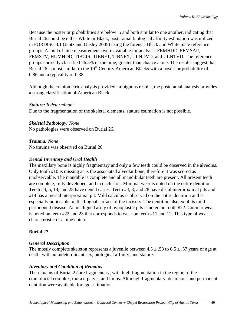Because the posterior probabilities are below .5 and both similar to one another, indicating that Burial 26 could be either White or Black, postcranial biological affinity estimation was utilized in FORDISC 3.1 (Jantz and Ousley 2005) using the forensic Black and White male reference groups. A total of nine measurements were available for analysis: FEMHDD, FEMSAP, FEMSTV, HUMHDD, TIBCIR, TIBNFT, TIBNFX, ULNDVD, and ULNTVD. The reference groups correctly classified 76.5% of the time, greater than chance alone. The results suggest that Burial 26 is most similar to the 19<sup>th</sup> Century American Blacks with a posterior probability of 0.86 and a typicality of 0.38.

Although the craniometric analysis provided ambiguous results, the postcranial analysis provides a strong classification of American Black.

#### *Stature: Indeterminant*

Due to the fragmentation of the skeletal elements, stature estimation is not possible.

### *Skeletal Pathology: None*

No pathologies were observed on Burial 26.

### *Trauma: None*

No trauma was observed on Burial 26.

#### *Dental Inventory and Oral Health*

The maxillary bone is highly fragmentary and only a few teeth could be observed in the alveolus. Only tooth #10 is missing as is the associated alveolar bone, therefore it was scored as unobservable. The mandible is complete and all mandibular teeth are present. All present teeth are complete, fully developed, and in occlusion. Minimal wear is noted on the entire dentition. Teeth #4, 5, 14, and 28 have dental caries. Teeth #4, 8, and 28 have distal interproximal pits and #14 has a mesial interproximal pit. Mild calculus is observed on the entire dentition and is especially noticeable on the lingual surface of the incisors. The dentition also exhibits mild periodontal disease. An unaligned array of hypoplastic pits is noted on tooth #22. Circular wear is noted on teeth #22 and 23 that corresponds to wear on teeth #11 and 12. This type of wear is characteristic of a pipe notch.

### **Burial 27**

### *General Description*

The mostly complete skeleton represents a juvenile between  $4.5 \pm .58$  to  $6.5 \pm .57$  years of age at death, with an indeterminant sex, biological affinity, and stature.

### *Inventory and Condition of Remains*

The remains of Burial 27 are fragmentary, with high fragmentation in the region of the craniofacial complex, thorax, pelvis, and limbs. Although fragmentary, deciduous and permanent dentition were available for age estimation.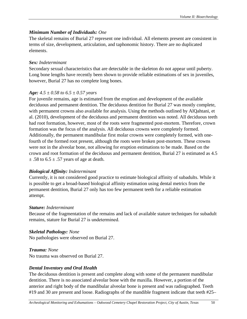# *Minimum Number of Individuals: One*

The skeletal remains of Burial 27 represent one individual. All elements present are consistent in terms of size, development, articulation, and taphonomic history. There are no duplicated elements.

# *Sex: Indeterminant*

Secondary sexual characteristics that are detectable in the skeleton do not appear until puberty. Long bone lengths have recently been shown to provide reliable estimations of sex in juveniles, however, Burial 27 has no complete long bones.

# *Age: 4.5 ± 0.58 to 6.5 ± 0.57 years*

For juvenile remains, age is estimated from the eruption and development of the available deciduous and permanent dentition. The deciduous dentition for Burial 27 was mostly complete, with permanent crowns also available for analysis. Using the methods outlined by AlQahtani, et al. (2010), development of the deciduous and permanent dentition was noted. All deciduous teeth had root formation, however, most of the roots were fragmented post-mortem. Therefore, crown formation was the focus of the analysis. All deciduous crowns were completely formed. Additionally, the permanent mandibular first molar crowns were completely formed, with onefourth of the formed root present, although the roots were broken post-mortem. These crowns were not in the alveolar bone, not allowing for eruption estimations to be made. Based on the crown and root formation of the deciduous and permanent dentition, Burial 27 is estimated as 4.5  $\pm$  .58 to 6.5  $\pm$  .57 years of age at death.

### *Biological Affinity: Indeterminant*

Currently, it is not considered good practice to estimate biological affinity of subadults. While it is possible to get a broad-based biological affinity estimation using dental metrics from the permanent dentition, Burial 27 only has too few permanent teeth for a reliable estimation attempt.

### *Stature: Indeterminant*

Because of the fragmentation of the remains and lack of available stature techniques for subadult remains, stature for Burial 27 is undetermined.  

# *Skeletal Pathology: None*

No pathologies were observed on Burial 27.

*Trauma: None* No trauma was observed on Burial 27.

# *Dental Inventory and Oral Health*

The deciduous dentition is present and complete along with some of the permanent mandibular dentition. There is no associated alveolar bone with the maxilla. However, a portion of the anterior and right body of the mandibular alveolar bone is present and was radiographed. Teeth #19 and 30 are present and loose. Radiographs of the mandible fragment indicate that teeth #25–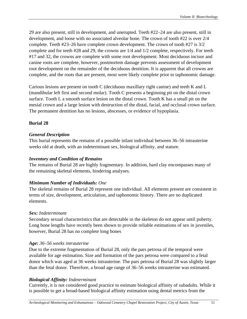29 are also present, still in development, and unerupted. Teeth #22–24 are also present, still in development, and loose with no associated alveolar bone. The crown of tooth #22 is over 2/4 complete. Teeth #23–26 have complete crown development. The crown of tooth #27 is 3/2 complete and for teeth #28 and 29, the crowns are 1/4 and 1/2 complete, respectively. For teeth #17 and 32, the crowns are complete with some root development. Most deciduous incisor and canine roots are complete, however, postmortem damage prevents assessment of development root development on the remainder of the deciduous dentition. It is apparent that all crowns are complete, and the roots that are present, most were likely complete prior to taphonomic damage.

Carious lesions are present on tooth C (deciduous maxillary right canine) and teeth K and L (mandibular left first and second molar). Tooth C presents a beginning pit on the distal crown surface. Tooth L a smooth surface lesion on the distal crown. Tooth K has a small pit on the mesial crown and a large lesion with destruction of the distal, facial, and occlusal crown surface. The permanent dentition has no lesions, abscesses, or evidence of hypoplasia.

# **Burial 28**

# *General Description*

This burial represents the remains of a possible infant individual between 36–56 intrauterine weeks old at death, with an indeterminant sex, biological affinity, and stature.

# *Inventory and Condition of Remains*

The remains of Burial 28 are highly fragmentary. In addition, hard clay encompasses many of the remaining skeletal elements, hindering analyses.

# *Minimum Number of Individuals: One*

The skeletal remains of Burial 28 represent one individual. All elements present are consistent in terms of size, development, articulation, and taphonomic history. There are no duplicated elements.

# *Sex: Indeterminant*

Secondary sexual characteristics that are detectable in the skeleton do not appear until puberty. Long bone lengths have recently been shown to provide reliable estimations of sex in juveniles, however, Burial 28 has no complete long bones

# *Age: 36–56 weeks intrauterine*

Due to the extreme fragmentation of Burial 28, only the pars petrosa of the temporal were available for age estimation. Size and formation of the pars petrosa were compared to a fetal donor which was aged at 36 weeks intrauterine. The pars petrosa of Burial 28 was slightly larger than the fetal donor. Therefore, a broad age range of 36–56 weeks intrauterine was estimated.

# *Biological Affinity: Indeterminant*

Currently, it is not considered good practice to estimate biological affinity of subadults. While it is possible to get a broad-based biological affinity estimation using dental metrics from the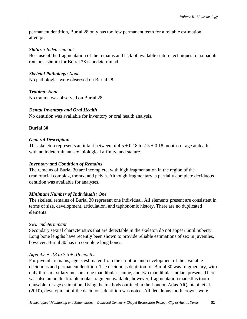permanent dentition, Burial 28 only has too few permanent teeth for a reliable estimation attempt.

### *Stature: Indeterminant*

Because of the fragmentation of the remains and lack of available stature techniques for subadult remains, stature for Burial 28 is undetermined.  

# *Skeletal Pathology: None*

No pathologies were observed on Burial 28.

*Trauma: None* No trauma was observed on Burial 28.

# *Dental Inventory and Oral Health*

No dentition was available for inventory or oral health analysis.

# **Burial 30**

# *General Description*

This skeleton represents an infant between of  $4.5 \pm 0.18$  to  $7.5 \pm 0.18$  months of age at death, with an indeterminant sex, biological affinity, and stature.

# *Inventory and Condition of Remains*

The remains of Burial 30 are incomplete, with high fragmentation in the region of the craniofacial complex, thorax, and pelvis. Although fragmentary, a partially complete deciduous dentition was available for analyses.

# *Minimum Number of Individuals: One*

The skeletal remains of Burial 30 represent one individual. All elements present are consistent in terms of size, development, articulation, and taphonomic history. There are no duplicated elements.

# *Sex: Indeterminant*

Secondary sexual characteristics that are detectable in the skeleton do not appear until puberty. Long bone lengths have recently been shown to provide reliable estimations of sex in juveniles, however, Burial 30 has no complete long bones.

# *Age: 4.5 ± .18 to 7.5 ± .18 months*

For juvenile remains, age is estimated from the eruption and development of the available deciduous and permanent dentition. The deciduous dentition for Burial 30 was fragmentary, with only three maxillary incisors, one mandibular canine, and two mandibular molars present. There was also an unidentifiable molar fragment available, however, fragmentation made this tooth unusable for age estimation. Using the methods outlined in the London Atlas AlQahtani, et al. (2010), development of the deciduous dentition was noted. All deciduous tooth crowns were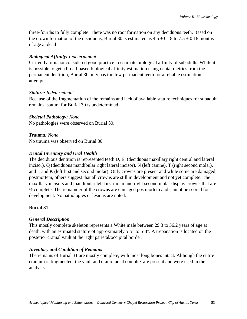three-fourths to fully complete. There was no root formation on any deciduous teeth. Based on the crown formation of the deciduous, Burial 30 is estimated as  $4.5 \pm 0.18$  to  $7.5 \pm 0.18$  months of age at death.

#### *Biological Affinity: Indeterminant*

Currently, it is not considered good practice to estimate biological affinity of subadults. While it is possible to get a broad-based biological affinity estimation using dental metrics from the permanent dentition, Burial 30 only has too few permanent teeth for a reliable estimation attempt.

#### *Stature: Indeterminant*

Because of the fragmentation of the remains and lack of available stature techniques for subadult remains, stature for Burial 30 is undetermined.  

#### *Skeletal Pathology: None*

No pathologies were observed on Burial 30.

*Trauma: None* No trauma was observed on Burial 30.

#### *Dental Inventory and Oral Health*

The deciduous dentition is represented teeth D, E, (deciduous maxillary right central and lateral incisor), Q (deciduous mandibular right lateral incisor), N (left canine), T (right second molar), and L and K (left first and second molar). Only crowns are present and while some are damaged postmortem, others suggest that all crowns are still in development and not yet complete. The maxillary incisors and mandibular left first molar and right second molar display crowns that are ½ complete. The remainder of the crowns are damaged postmortem and cannot be scored for development. No pathologies or lesions are noted.

#### **Burial 31**

#### *General Description*

This mostly complete skeleton represents a White male between 29.3 to 56.2 years of age at death, with an estimated stature of approximately 5'5" to 5'8". A trepanation is located on the posterior cranial vault at the right parietal/occipital border.

#### *Inventory and Condition of Remains*

The remains of Burial 31 are mostly complete, with most long bones intact. Although the entire cranium is fragmented, the vault and craniofacial complex are present and were used in the analysis.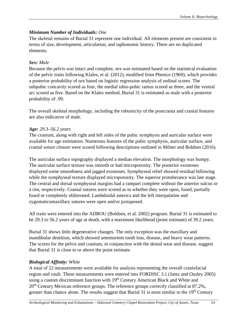# *Minimum Number of Individuals: One*

The skeletal remains of Burial 31 represent one individual. All elements present are consistent in terms of size, development, articulation, and taphonomic history. There are no duplicated elements.

# *Sex: Male*

Because the pelvis was intact and complete, sex was estimated based on the statistical evaluation of the pelvic traits following Klales, et al. (2012), modified from Phenice (1969), which provides a posterior probability of sex based on logistic regression analysis of ordinal scores. The subpubic concavity scored as four, the medial ishio-pubic ramus scored as three, and the ventral arc scored as five. Based on the Klales method, Burial 31 is estimated as male with a posterior probability of .99.

The overall skeletal morphology, including the robusticity of the postcrania and cranial features are also indicative of male.

# *Age: 29.3–56.2 years*

The cranium, along with right and left sides of the pubic symphysis and auricular surface were available for age estimation. Numerous features of the pubic symphysis, auricular surface, and cranial suture closure were scored following descriptions outlined in Milner and Boldsen (2016).

The auricular surface topography displayed a median elevation. The morphology was bumpy. The auricular surface texture was smooth or had microporosity. The posterior exostoses displayed some smoothness and jagged exostoses. Symphyseal relief showed residual billowing while the symphyseal texture displayed microporosity. The superior protuberance was late stage. The central and dorsal symphyseal margins had a rampart complete without the anterior sulcus or a rim, respectively. Cranial sutures were scored as to whether they were open, fused, partially fused or completely obliterated. Lambdoidal asterica and the left interpalatine and zygomaticomaxillary sutures were open and/or juxtaposed.

All traits were entered into the ADBOU (Boldsen, et al*.* 2002) program. Burial 31 is estimated to be 29.3 to 56.2 years of age at death, with a maximum likelihood (point estimate) of 39.2 years.

Burial 31 shows little degenerative changes. The only exception was the maxillary and mandibular dentition, which showed antemortem tooth loss, disease, and heavy wear patterns. The scores for the pelvis and cranium, in conjunction with the dental wear and disease, suggest that Burial 31 is close to or above the point estimate.

# *Biological Affinity: White*

A total of 22 measurements were available for analysis representing the overall craniofacial region and vault. These measurements were entered into FORDISC 3.1 (Jantz and Ousley 2005) using a custom discriminant function with 19<sup>th</sup> Century American Black and White and 20<sup>th</sup> Century Mexican reference groups. The reference groups correctly classified at 87.2%, greater than chance alone. The results suggest that Burial 31 is most similar to the  $19<sup>th</sup>$  Century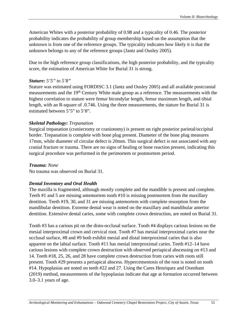American Whites with a posterior probability of 0.98 and a typicality of 0.46. The posterior probability indicates the probability of group membership based on the assumption that the unknown is from one of the reference groups. The typicality indicates how likely it is that the unknown belongs to any of the reference groups (Jantz and Ousley 2005).

Due to the high reference group classifications, the high posterior probability, and the typicality score, the estimation of American White for Burial 31 is strong.

### *Stature: 5'5" to 5'8"*

Stature was estimated using FORDISC 3.1 (Jantz and Ousley 2005) and all available postcranial measurements and the 19<sup>th</sup> Century White male group as a reference. The measurements with the highest correlation to stature were femur bicondylar length, femur maximum length, and tibial length, with an R-square of .0.746. Using the three measurements, the stature for Burial 31 is estimated between 5'5" to 5'8".

### *Skeletal Pathology: Trepanation*

Surgical trepanation (craniectomy or craniotomy) is present on right posterior parietal/occipital border. Trepanation is complete with bone plug present. Diameter of the bone plug measures 17mm, while diameter of circular defect is 20mm. This surgical defect is not associated with any cranial fracture or trauma. There are no signs of healing or bone reaction present, indicating this surgical procedure was performed in the perimortem or postmortem period.

### *Trauma: None*

No trauma was observed on Burial 31.

### *Dental Inventory and Oral Health*

The maxilla is fragmented, although mostly complete and the mandible is present and complete. Teeth #1 and 5 are missing antemortem tooth #10 is missing postmortem from the maxillary dentition. Teeth #19, 30, and 31 are missing antemortem with complete resorption from the mandibular dentition. Extreme dental wear is noted on the maxillary and mandibular anterior dentition. Extensive dental caries, some with complete crown destruction, are noted on Burial 31.

Tooth #3 has a carious pit on the disto-occlusal surface. Tooth #4 displays carious lesions on the mesial interproximal crown and cervical root. Tooth #7 has mesial interproximal caries near the occlusal surface, #8 and #9 both exhibit mesial and distal interproximal caries that is also apparent on the labial surface. Tooth #11 has mesial interproximal caries. Teeth #12–14 have carious lesions with complete crown destruction with observed periapical abscessing on #13 and 14. Teeth #18, 25, 26, and 28 have complete crown destruction from caries with roots still present. Tooth #29 presents a periapical abscess. Hypercementosis of the root is noted on tooth #14. Hypoplasias are noted on teeth #22 and 27. Using the Cares Henriquez and Oxenham (2019) method, measurements of the hypoplasias indicate that age at formation occurred between 3.0–3.1 years of age.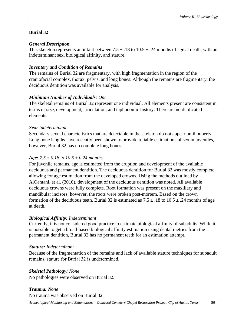# **Burial 32**

### *General Description*

This skeleton represents an infant between  $7.5 \pm .18$  to  $10.5 \pm .24$  months of age at death, with an indeterminant sex, biological affinity, and stature.

### *Inventory and Condition of Remains*

The remains of Burial 32 are fragmentary, with high fragmentation in the region of the craniofacial complex, thorax, pelvis, and long bones. Although the remains are fragmentary, the deciduous dentition was available for analysis.

# *Minimum Number of Individuals: One*

The skeletal remains of Burial 32 represent one individual. All elements present are consistent in terms of size, development, articulation, and taphonomic history. There are no duplicated elements.

### *Sex: Indeterminant*

Secondary sexual characteristics that are detectable in the skeleton do not appear until puberty. Long bone lengths have recently been shown to provide reliable estimations of sex in juveniles, however, Burial 32 has no complete long bones.

# *Age: 7.5 ± 0.18 to 10.5 ± 0.24 months*

For juvenile remains, age is estimated from the eruption and development of the available deciduous and permanent dentition. The deciduous dentition for Burial 32 was mostly complete, allowing for age estimation from the developed crowns. Using the methods outlined by AlQahtani, et al. (2010), development of the deciduous dentition was noted. All available deciduous crowns were fully complete. Root formation was present on the maxillary and mandibular incisors; however, the roots were broken post-mortem. Based on the crown formation of the deciduous teeth, Burial 32 is estimated as  $7.5 \pm .18$  to  $10.5 \pm .24$  months of age at death.

# *Biological Affinity: Indeterminant*

Currently, it is not considered good practice to estimate biological affinity of subadults. While it is possible to get a broad-based biological affinity estimation using dental metrics from the permanent dentition, Burial 32 has no permanent teeth for an estimation attempt.

# *Stature: Indeterminant*

Because of the fragmentation of the remains and lack of available stature techniques for subadult remains, stature for Burial 32 is undetermined.  

# *Skeletal Pathology: None*

No pathologies were observed on Burial 32.

#### *Trauma: None* No trauma was observed on Burial 32.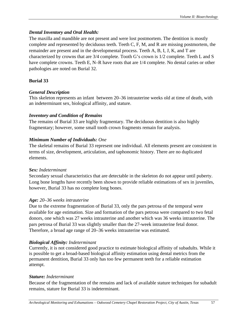# *Dental Inventory and Oral Health:*

The maxilla and mandible are not present and were lost postmortem. The dentition is mostly complete and represented by deciduous teeth. Teeth C, F, M, and R are missing postmortem, the remainder are present and in the developmental process. Teeth A, B, I, J, K, and T are characterized by crowns that are 3/4 complete. Tooth G's crown is 1/2 complete. Teeth L and S have complete crowns. Teeth E, N–R have roots that are  $1/4$  complete. No dental caries or other pathologies are noted on Burial 32.

# **Burial 33**

# *General Description*

This skeleton represents an infant between 20–36 intrauterine weeks old at time of death, with an indeterminant sex, biological affinity, and stature.

### *Inventory and Condition of Remains*

The remains of Burial 33 are highly fragmentary. The deciduous dentition is also highly fragmentary; however, some small tooth crown fragments remain for analysis.

# *Minimum Number of Individuals: One*

The skeletal remains of Burial 33 represent one individual. All elements present are consistent in terms of size, development, articulation, and taphonomic history. There are no duplicated elements.

# *Sex: Indeterminant*

Secondary sexual characteristics that are detectable in the skeleton do not appear until puberty. Long bone lengths have recently been shown to provide reliable estimations of sex in juveniles, however, Burial 33 has no complete long bones.

# *Age: 20–36 weeks intrauterine*

Due to the extreme fragmentation of Burial 33, only the pars petrosa of the temporal were available for age estimation. Size and formation of the pars petrosa were compared to two fetal donors, one which was 27 weeks intrauterine and another which was 36 weeks intrauterine. The pars petrosa of Burial 33 was slightly smaller than the 27-week intrauterine fetal donor. Therefore, a broad age range of 20–36 weeks intrauterine was estimated.

# *Biological Affinity: Indeterminant*

Currently, it is not considered good practice to estimate biological affinity of subadults. While it is possible to get a broad-based biological affinity estimation using dental metrics from the permanent dentition, Burial 33 only has too few permanent teeth for a reliable estimation attempt.

# *Stature: Indeterminant*

Because of the fragmentation of the remains and lack of available stature techniques for subadult remains, stature for Burial 33 is indeterminant.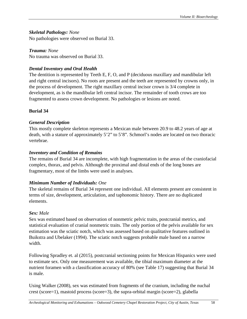# *Skeletal Pathology: None*

No pathologies were observed on Burial 33.

# *Trauma: None*

No trauma was observed on Burial 33.

# *Dental Inventory and Oral Health*

The dentition is represented by Teeth E, F, O, and P (deciduous maxillary and mandibular left and right central incisors). No roots are present and the teeth are represented by crowns only, in the process of development. The right maxillary central incisor crown is 3/4 complete in development, as is the mandibular left central incisor. The remainder of tooth crows are too fragmented to assess crown development. No pathologies or lesions are noted.

# **Burial 34**

# *General Description*

This mostly complete skeleton represents a Mexican male between 20.9 to 48.2 years of age at death, with a stature of approximately 5'2" to 5'8". Schmorl's nodes are located on two thoracic vertebrae.

# *Inventory and Condition of Remains*

The remains of Burial 34 are incomplete, with high fragmentation in the areas of the craniofacial complex, thorax, and pelvis. Although the proximal and distal ends of the long bones are fragmentary, most of the limbs were used in analyses.

# *Minimum Number of Individuals: One*

The skeletal remains of Burial 34 represent one individual. All elements present are consistent in terms of size, development, articulation, and taphonomic history. There are no duplicated elements.

# *Sex: Male*

Sex was estimated based on observation of nonmetric pelvic traits, postcranial metrics, and statistical evaluation of cranial nonmetric traits. The only portion of the pelvis available for sex estimation was the sciatic notch, which was assessed based on qualitative features outlined in Buikstra and Ubelaker (1994). The sciatic notch suggests probable male based on a narrow width.

Following Spradley et. al (2015), postcranial sectioning points for Mexican Hispanics were used to estimate sex. Only one measurement was available, the tibial maximum diameter at the nutrient foramen with a classification accuracy of 80% (see Table 17) suggesting that Burial 34 is male.

Using Walker (2008), sex was estimated from fragments of the cranium, including the nuchal crest (score=1), mastoid process (score=3), the supra-orbital margin (score=2), glabella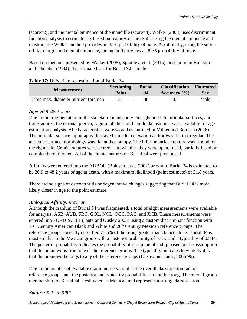(score=2), and the mental eminence of the mandible (score=4). Walker (2008) uses discriminant function analysis to estimate sex based on features of the skull. Using the mental eminence and mastoid, the Walker method provides an 85% probability of male. Additionally, using the supraorbital margin and mental eminence, the method provides an 82% probability of male.

Based on methods presented by Walker (2008), Spradley, et al. (2015), and found in Buikstra and Ubelaker (1994), the estimated sex for Burial 34 is male.

| <b>Measurement</b>                   | <b>Sectioning</b> | <b>Burial</b> | <b>Classification</b> | <b>Estimated</b> |
|--------------------------------------|-------------------|---------------|-----------------------|------------------|
|                                      | Point             | 34            | Accuracy $(\% )$      | <b>Sex</b>       |
| Tibia max. diameter nutrient foramen |                   | 38            |                       | Male             |

|--|

#### *Age: 20.9–48.2 years*

Due to the fragmentation to the skeletal remains, only the right and left auricular surfaces, and three sutures, the coronal pterica, sagittal obelica, and lamdoidal asterica, were available for age estimation analysis. All characteristics were scored as outlined in Milner and Boldsen (2016). The auricular surface topography displayed a median elevation and/or was flat to irregular. The auricular surface morphology was flat and/or bumpy. The inferior surface texture was smooth on the right side, Cranial sutures were scored as to whether they were open, fused, partially fused or completely obliterated. All of the cranial sutures on Burial 34 were juxtaposed.

All traits were entered into the ADBOU (Boldsen, et al*.* 2002) program. Burial 34 is estimated to be 20.9 to 48.2 years of age at death, with a maximum likelihood (point estimate) of 31.8 years.

There are no signs of osteoarthritis or degenerative changes suggesting that Burial 34 is most likely closer in age to the point estimate.

### *Biological Affinity: Mexican*

Although the cranium of Burial 34 was fragmented, a total of eight measurements were available for analysis: ASB, AUB, FRC, GOL, NOL, OCC, PAC, and XCB. These measurements were entered into FORDISC 3.1 (Jantz and Ousley 2005) using a custom discriminant function with 19<sup>th</sup> Century American Black and White and 20<sup>th</sup> Century Mexican reference groups. The reference groups correctly classified 75.6% of the time, greater than chance alone. Burial 34 is most similar to the Mexican group with a posterior probability of 0.757 and a typicality of 0.844. The posterior probability indicates the probability of group membership based on the assumption that the unknown is from one of the reference groups. The typicality indicates how likely it is that the unknown belongs to any of the reference groups (Ousley and Jantz, 2005:96).

Due to the number of available craniometric variables, the overall classification rate of reference groups, and the posterior and typicality probabilities are both strong. The overall group membership for Burial 34 is estimated as Mexican and represents a strong classification.

### *Stature: 5'2" to 5'8"*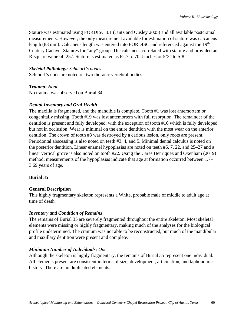Stature was estimated using FORDISC 3.1 (Jantz and Ousley 2005) and all available postcranial measurements. However, the only measurement available for estimation of stature was calcaneus length (83 mm). Calcaneus length was entered into FORDISC and referenced against the 19<sup>th</sup> Century Cadaver Statures for "any" group. The calcaneus correlated with stature and provided an R-square value of .257. Stature is estimated as 62.7 to 70.4 inches or 5'2" to 5'8".

### *Skeletal Pathology: Schmorl's nodes*

Schmorl's node are noted on two thoracic vertebral bodies.

### *Trauma: None*

No trauma was observed on Burial 34.

### *Dental Inventory and Oral Health*

The maxilla is fragmented, and the mandible is complete. Tooth #1 was lost antemortem or congenitally missing. Tooth #19 was lost antemortem with full resorption. The remainder of the dentition is present and fully developed, with the exception of tooth #16 which is fully developed but not in occlusion. Wear is minimal on the entire dentition with the most wear on the anterior dentition. The crown of tooth #3 was destroyed by a carious lesion, only roots are present. Periodontal abscessing is also noted on teeth #3, 4, and 5. Minimal dental calculus is noted on the posterior dentition. Linear enamel hypoplasias are noted on teeth #6, 7, 22, and 25–27 and a linear vertical grove is also noted on tooth #22. Using the Cares Henriquez and Oxenham (2019) method, measurements of the hypoplasias indicate that age at formation occurred between 1.7– 3.69 years of age.

# **Burial 35**

# **General Description**

This highly fragmentary skeleton represents a White, probable male of middle to adult age at time of death.

### *Inventory and Condition of Remains*

The remains of Burial 35 are severely fragmented throughout the entire skeleton. Most skeletal elements were missing or highly fragmentary, making much of the analyses for the biological profile undetermined. The cranium was not able to be reconstructed, but much of the mandibular and maxillary dentition were present and complete.

# *Minimum Number of Individuals: One*

Although the skeleton is highly fragmentary, the remains of Burial 35 represent one individual. All elements present are consistent in terms of size, development, articulation, and taphonomic history. There are no duplicated elements.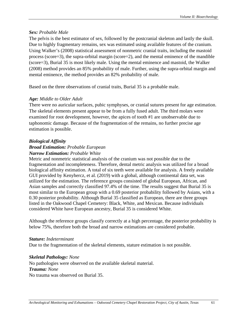#### *Sex: Probable Male*

The pelvis is the best estimator of sex, followed by the postcranial skeleton and lastly the skull. Due to highly fragmentary remains, sex was estimated using available features of the cranium. Using Walker's (2008) statistical assessment of nonmetric cranial traits, including the mastoid process (score=3), the supra-orbital margin (score=2), and the mental eminence of the mandible (score=3), Burial 35 is most likely male. Using the mental eminence and mastoid, the Walker (2008) method provides an 85% probability of male. Further, using the supra-orbital margin and mental eminence, the method provides an 82% probability of male.

Based on the three observations of cranial traits, Burial 35 is a probable male.

### *Age: Middle to Older Adult*

There were no auricular surfaces, pubic symphyses, or cranial sutures present for age estimation. The skeletal elements present appear to be from a fully fused adult. The third molars were examined for root development, however, the apices of tooth #1 are unobservable due to taphonomic damage. Because of the fragmentation of the remains, no further precise age estimation is possible.

#### *Biological Affinity*

#### *Broad Estimation: Probable European Narrow Estimation: Probable White*

Metric and nonmetric statistical analysis of the cranium was not possible due to the fragmentation and incompleteness. Therefore, dental metric analysis was utilized for a broad biological affinity estimation. A total of six teeth were available for analysis. A freely available GUI provided by Kenyhercz, et al. (2019) with a global, although continental data set, was utilized for the estimation. The reference groups consisted of global European, African, and Asian samples and correctly classified 97.4% of the time. The results suggest that Burial 35 is most similar to the European group with a 0.69 posterior probability followed by Asians, with a 0.30 posterior probability. Although Burial 35 classified as European, there are three groups listed in the Oakwood Chapel Cemetery: Black, White, and Mexican. Because individuals considered White have European ancestry, Burial 35 is considered White.

Although the reference groups classify correctly at a high percentage, the posterior probability is below 75%, therefore both the broad and narrow estimations are considered probable.

#### *Stature: Indeterminant*

Due to the fragmentation of the skeletal elements, stature estimation is not possible.

#### *Skeletal Pathology: None*

No pathologies were observed on the available skeletal material. *Trauma: None* No trauma was observed on Burial 35.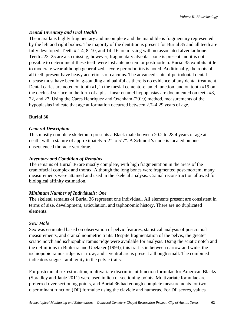# *Dental Inventory and Oral Health*

The maxilla is highly fragmentary and incomplete and the mandible is fragmentary represented by the left and right bodies. The majority of the dentition is present for Burial 35 and all teeth are fully developed. Teeth #2–4, 8–10, and 14–16 are missing with no associated alveolar bone. Teeth #23–25 are also missing, however, fragmentary alveolar bone is present and it is not possible to determine if these teeth were lost antemortem or postmortem. Burial 35 exhibits little to moderate wear although generalized, severe periodontitis is noted. Additionally, the roots of all teeth present have heavy accretions of calculus. The advanced state of periodontal dental disease must have been long-standing and painful as there is no evidence of any dental treatment. Dental caries are noted on tooth #1, in the mesial cemento-enamel junction, and on tooth #19 on the occlusal surface in the form of a pit. Linear enamel hypoplasias are documented on teeth #8, 22, and 27. Using the Cares Henriquez and Oxenham (2019) method, measurements of the hypoplasias indicate that age at formation occurred between 2.7–4.29 years of age.

# **Burial 36**

# *General Description*

This mostly complete skeleton represents a Black male between 20.2 to 28.4 years of age at death, with a stature of approximately 5'2" to 5'7". A Schmorl's node is located on one unsequenced thoracic vertebrae.

# *Inventory and Condition of Remains*

The remains of Burial 36 are mostly complete, with high fragmentation in the areas of the craniofacial complex and thorax. Although the long bones were fragmented post-mortem, many measurements were attained and used in the skeletal analysis. Cranial reconstruction allowed for biological affinity estimation.

# *Minimum Number of Individuals: One*

The skeletal remains of Burial 36 represent one individual. All elements present are consistent in terms of size, development, articulation, and taphonomic history. There are no duplicated elements.

# *Sex: Male*

Sex was estimated based on observation of pelvic features, statistical analysis of postcranial measurements, and cranial nonmetric traits. Despite fragmentation of the pelvis, the greater sciatic notch and ischiopubic ramus ridge were available for analysis. Using the sciatic notch and the definitions in Buikstra and Ubelaker (1994), this trait is in between narrow and wide, the ischiopubic ramus ridge is narrow, and a ventral arc is present although small. The combined indicators suggest ambiguity in the pelvic traits.

For postcranial sex estimation, multivariate discriminant function formulae for American Blacks (Spradley and Jantz 2011) were used in lieu of sectioning points. Multivariate formulae are preferred over sectioning points, and Burial 36 had enough complete measurements for two discriminant function (DF) formulae using the clavicle and humerus. For DF scores, values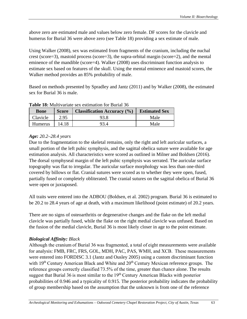above zero are estimated male and values below zero female. DF scores for the clavicle and humerus for Burial 36 were above zero (see Table 18) providing a sex estimate of male.

Using Walker (2008), sex was estimated from fragments of the cranium, including the nuchal crest (score=3), mastoid process (score=3), the supra-orbital margin (score=2), and the mental eminence of the mandible (score=4). Walker (2008) uses discriminant function analysis to estimate sex based on features of the skull. Using the mental eminence and mastoid scores, the Walker method provides an 85% probability of male.

Based on methods presented by Spradley and Jantz (2011) and by Walker (2008), the estimated sex for Burial 36 is male.

| <b>Bone</b>    | <b>Score</b> | <b>Classification Accuracy</b> (%) | <b>Estimated Sex</b> |
|----------------|--------------|------------------------------------|----------------------|
| Clavicle       | 2.95         | 93.8                               | Male                 |
| <b>Humerus</b> | 14.18        | 93 A                               | Male                 |

### **Table 18:** Multivariate sex estimation for Burial 36

### *Age: 20.2–28.4 years*

Due to the fragmentation to the skeletal remains, only the right and left auricular surfaces, a small portion of the left pubic symphysis, and the sagittal obelica suture were available for age estimation analysis. All characteristics were scored as outlined in Milner and Boldsen (2016). The dorsal symphyseal margin of the left pubic symphysis was serrated. The auricular surface topography was flat to irregular. The auricular surface morphology was less than one-third covered by billows or flat. Cranial sutures were scored as to whether they were open, fused, partially fused or completely obliterated. The cranial sutures on the sagittal obelica of Burial 36 were open or juxtaposed.

All traits were entered into the ADBOU (Boldsen, et al*.* 2002) program. Burial 36 is estimated to be 20.2 to 28.4 years of age at death, with a maximum likelihood (point estimate) of 20.2 years.

There are no signs of osteoarthritis or degenerative changes and the flake on the left medial clavicle was partially fused, while the flake on the right medial clavicle was unfused. Based on the fusion of the medial clavicle, Burial 36 is most likely closer in age to the point estimate.

### *Biological Affinity: Black*

Although the cranium of Burial 36 was fragmented, a total of eight measurements were available for analysis: FMB, FRC, FRS, GOL, MDH, PAC, PAS, WMH, and XCB.  These measurements were entered into FORDISC 3.1 (Jantz and Ousley 2005) using a custom discriminant function with 19<sup>th</sup> Century American Black and White and 20<sup>th</sup> Century Mexican reference groups. The reference groups correctly classified 73.5% of the time, greater than chance alone. The results suggest that Burial 36 is most similar to the 19<sup>th</sup> Century American Blacks with posterior probabilities of 0.946 and a typicality of 0.915. The posterior probability indicates the probability of group membership based on the assumption that the unknown is from one of the reference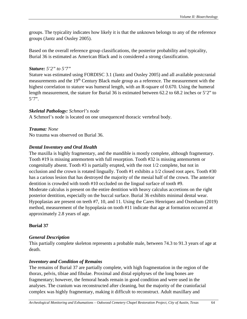groups. The typicality indicates how likely it is that the unknown belongs to any of the reference groups (Jantz and Ousley 2005).

Based on the overall reference group classifications, the posterior probability and typicality, Burial 36 is estimated as American Black and is considered a strong classification.

### *Stature: 5'2" to 5'7"*

Stature was estimated using FORDISC 3.1 (Jantz and Ousley 2005) and all available postcranial measurements and the 19<sup>th</sup> Century Black male group as a reference. The measurement with the highest correlation to stature was humeral length, with an R-square of 0.670. Using the humeral length measurement, the stature for Burial 36 is estimated between 62.2 to 68.2 inches or 5'2" to 5'7".

# *Skeletal Pathology: Schmorl's node*

A Schmorl's node is located on one unsequenced thoracic vertebral body.

*Trauma: None* No trauma was observed on Burial 36.

# *Dental Inventory and Oral Health*

The maxilla is highly fragmentary, and the mandible is mostly complete, although fragmentary. Tooth #19 is missing antemortem with full resorption. Tooth #32 is missing antemortem or congenitally absent. Tooth #3 is partially erupted, with the root 1/2 complete, but not in occlusion and the crown is rotated lingually. Tooth #1 exhibits a 1/2 closed root apex. Tooth #30 has a carious lesion that has destroyed the majority of the mesial half of the crown. The anterior dentition is crowded with tooth #10 occluded on the lingual surface of tooth #9. Moderate calculus is present on the entire dentition with heavy calculus accretions on the right posterior dentition, especially on the buccal surface. Burial 36 exhibits minimal dental wear. Hypoplasias are present on teeth #7, 10, and 11. Using the Cares Henriquez and Oxenham (2019) method, measurement of the hypoplasia on tooth #11 indicate that age at formation occurred at approximately 2.8 years of age.

# **Burial 37**

# *General Description*

This partially complete skeleton represents a probable male, between 74.3 to 91.3 years of age at death.

# *Inventory and Condition of Remains*

The remains of Burial 37 are partially complete, with high fragmentation in the region of the thorax, pelvis, tibiae and fibulae. Proximal and distal epiphyses of the long bones are fragmentary; however, the femoral heads remain in good condition and were used in the analyses. The cranium was reconstructed after cleaning, but the majority of the craniofacial complex was highly fragmentary, making it difficult to reconstruct. Adult maxillary and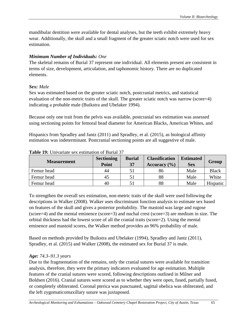mandibular dentition were available for dental analyses, but the teeth exhibit extremely heavy wear. Additionally, the skull and a small fragment of the greater sciatic notch were used for sex estimation.

# *Minimum Number of Individuals: One*

The skeletal remains of Burial 37 represent one individual. All elements present are consistent in terms of size, development, articulation, and taphonomic history. There are no duplicated elements.

# *Sex: Male*

Sex was estimated based on the greater sciatic notch, postcranial metrics, and statistical evaluation of the non-metric traits of the skull. The greater sciatic notch was narrow (score=4) indicating a probable male (Buikstra and Ubelaker 1994).

Because only one trait from the pelvis was available, postcranial sex estimation was assessed using sectioning points for femoral head diameter for American Blacks, American Whites, and

Hispanics from Spradley and Jantz (2011) and Spradley, et al. (2015), as biological affinity estimation was indeterminant. Postcranial sectioning points are all suggestive of male.

| <b>Measurement</b> | <b>Sectioning</b><br><b>Point</b> | <b>Burial</b><br>37 | <b>Classification</b><br>Accuracy $(\% )$ | <b>Estimated</b><br><b>Sex</b> | Group        |
|--------------------|-----------------------------------|---------------------|-------------------------------------------|--------------------------------|--------------|
| Femur head         | 44                                |                     | 86                                        | Male                           | <b>Black</b> |
| Femur head         | 45                                |                     | 88                                        | Male                           | White        |
| Femur head         | 40                                |                     | 88                                        | Male                           | Hispanic     |

### **Table 19:** Univariate sex estimation of Burial 37

To strengthen the overall sex estimation, non-metric traits of the skull were used following the descriptions in Walker (2008). Walker uses discriminant function analysis to estimate sex based on features of the skull and gives a posterior probability. The mastoid was large and rugose (score=4) and the mental eminence (score=3) and nuchal crest (score=3) are medium in size. The orbital thickness had the lowest score of all the cranial traits (score=2). Using the mental eminence and mastoid scores, the Walker method provides an 96% probability of male.

Based on methods provided by Buikstra and Ubelaker (1994), Spradley and Jantz (2011), Spradley, et al. (2015) and Walker (2008), the estimated sex for Burial 37 is male.

# *Age: 74.3–91.3 years*

Due to the fragmentation of the remains, only the cranial sutures were available for transition analysis, therefore, they were the primary indicators evaluated for age estimation. Multiple features of the cranial sutures were scored, following descriptions outlined in Milner and Boldsen (2016). Cranial sutures were scored as to whether they were open, fused, partially fused, or completely obliterated. Coronal pterica was punctuated, sagittal obelica was obliterated, and the left zygomaticomaxillary suture was juxtaposed.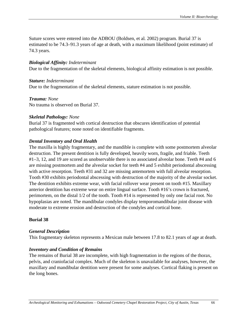Suture scores were entered into the ADBOU (Boldsen, et al*.* 2002) program. Burial 37 is estimated to be 74.3–91.3 years of age at death, with a maximum likelihood (point estimate) of 74.3 years.

#### *Biological Affinity: Indeterminant*

Due to the fragmentation of the skeletal elements, biological affinity estimation is not possible.

#### *Stature: Indeterminant*  Due to the fragmentation of the skeletal elements, stature estimation is not possible.

*Trauma: None* No trauma is observed on Burial 37.

#### *Skeletal Pathology: None*

Burial 37 is fragmented with cortical destruction that obscures identification of potential pathological features; none noted on identifiable fragments.

### *Dental Inventory and Oral Health*

The maxilla is highly fragmentary, and the mandible is complete with some postmortem alveolar destruction. The present dentition is fully developed, heavily worn, fragile, and friable. Teeth #1–3, 12, and 19 are scored as unobservable there is no associated alveolar bone. Teeth #4 and 6 are missing postmortem and the alveolar socket for teeth #4 and 5 exhibit periodontal abscessing with active resorption. Teeth #31 and 32 are missing antemortem with full alveolar resorption. Tooth #30 exhibits periodontal abscessing with destruction of the majority of the alveolar socket. The dentition exhibits extreme wear, with facial rollover wear present on tooth #15. Maxillary anterior dentition has extreme wear on entire lingual surface. Tooth #16's crown is fractured, perimortem, on the distal 1/2 of the tooth. Tooth #14 is represented by only one facial root. No hypoplasias are noted. The mandibular condyles display temporomandibular joint disease with moderate to extreme erosion and destruction of the condyles and cortical bone.

### **Burial 38**

#### *General Description*

This fragmentary skeleton represents a Mexican male between 17.8 to 82.1 years of age at death.

### *Inventory and Condition of Remains*

The remains of Burial 38 are incomplete, with high fragmentation in the regions of the thorax, pelvis, and craniofacial complex. Much of the skeleton is unavailable for analyses, however, the maxillary and mandibular dentition were present for some analyses. Cortical flaking is present on the long bones.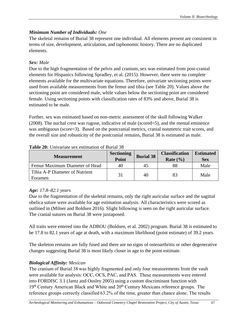# *Minimum Number of Individuals: One*

The skeletal remains of Burial 38 represent one individual. All elements present are consistent in terms of size, development, articulation, and taphonomic history. There are no duplicated elements.

# *Sex: Male*

Due to the high fragmentation of the pelvis and cranium, sex was estimated from post-cranial elements for Hispanics following Spradley, et al. (2015). However, there were no complete elements available for the multivariate equations. Therefore, univariate sectioning points were used from available measurements from the femur and tibia (see Table 20). Values above the sectioning point are considered male, while values below the sectioning point are considered female. Using sectioning points with classification rates of 83% and above, Burial 38 is estimated to be male.

Further, sex was estimated based on non-metric assessment of the skull following Walker (2008). The nuchal crest was rugose, indicative of male (scored=5), and the mental eminence was ambiguous (score=3). Based on the postcranial metrics, cranial nonmetric trait scores, and the overall size and robusticity of the postcranial remains, Burial 38 is estimated as male.

| <b>Measurement</b>                        | <b>Sectioning</b><br>Point | <b>Burial 38</b> | <b>Classification</b><br>Rate $(\% )$ | <b>Estimated</b><br><b>Sex</b> |
|-------------------------------------------|----------------------------|------------------|---------------------------------------|--------------------------------|
| Femur Maximum Diameter of Head            | 40                         | 45               | 88                                    | Male                           |
| Tibia A-P Diameter of Nutrient<br>Foramen | 31                         | 40               | 83                                    | Male                           |

### **Table 20:** Univariate sex estimation of Burial 38

# *Age: 17.8–82.1 years*

Due to the fragmentation of the skeletal remains, only the right auricular surface and the sagittal obelica suture were available for age estimation analysis. All characteristics were scored as outlined in (Milner and Boldsen 2016). Slight billowing is seen on the right auricular surface. The cranial sutures on Burial 38 were juxtaposed.

All traits were entered into the ADBOU (Boldsen, et al*.* 2002) program. Burial 38 is estimated to be 17.8 to 82.1 years of age at death, with a maximum likelihood (point estimate) of 39.2 years.

The skeleton remains are fully fused and there are no signs of osteoarthritis or other degenerative changes suggesting Burial 38 is most likely closer in age to the point estimate.

# *Biological Affinity: Mexican*

The cranium of Burial 38 was highly fragmented and only four measurements from the vault were available for analysis: OCC, OCS, PAC, and PAS.  These measurements were entered into FORDISC 3.1 (Jantz and Ousley 2005) using a custom discriminant function with 19<sup>th</sup> Century American Black and White and 20<sup>th</sup> Century Mexicans reference groups. The reference groups correctly classified 63.2% of the time, greater than chance alone. The results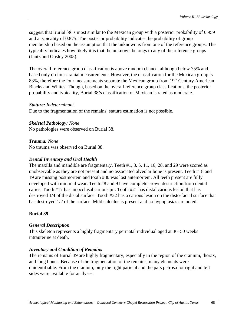suggest that Burial 38 is most similar to the Mexican group with a posterior probability of 0.959 and a typicality of 0.875. The posterior probability indicates the probability of group membership based on the assumption that the unknown is from one of the reference groups. The typicality indicates how likely it is that the unknown belongs to any of the reference groups (Jantz and Ousley 2005).

The overall reference group classification is above random chance, although below 75% and based only on four cranial measurements. However, the classification for the Mexican group is 83%, therefore the four measurements separate the Mexican group from 19<sup>th</sup> Century American Blacks and Whites. Though, based on the overall reference group classifications, the posterior probability and typicality, Burial 38's classification of Mexican is rated as moderate.

#### *Stature: Indeterminant*

Due to the fragmentation of the remains, stature estimation is not possible.

#### *Skeletal Pathology: None*

No pathologies were observed on Burial 38.

*Trauma: None* No trauma was observed on Burial 38.

#### *Dental Inventory and Oral Health*

The maxilla and mandible are fragmentary. Teeth #1, 3, 5, 11, 16, 28, and 29 were scored as unobservable as they are not present and no associated alveolar bone is present. Teeth #18 and 19 are missing postmortem and tooth #30 was lost antemortem. All teeth present are fully developed with minimal wear. Teeth #8 and 9 have complete crown destruction from dental caries. Tooth #17 has an occlusal carious pit. Tooth #21 has distal carious lesion that has destroyed 1/4 of the distal surface. Tooth #32 has a carious lesion on the disto-facial surface that has destroyed  $1/2$  of the surface. Mild calculus is present and no hypoplasias are noted.

### **Burial 39**

### *General Description*

This skeleton represents a highly fragmentary perinatal individual aged at 36–50 weeks intrauterine at death.

### *Inventory and Condition of Remains*

The remains of Burial 39 are highly fragmentary, especially in the region of the cranium, thorax, and long bones. Because of the fragmentation of the remains, many elements were unidentifiable. From the cranium, only the right parietal and the pars petrosa for right and left sides were available for analyses.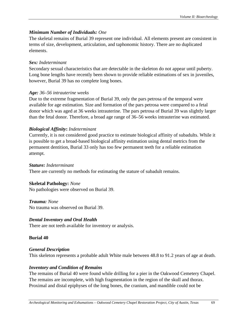# *Minimum Number of Individuals: One*

The skeletal remains of Burial 39 represent one individual. All elements present are consistent in terms of size, development, articulation, and taphonomic history. There are no duplicated elements.

### *Sex: Indeterminant*

Secondary sexual characteristics that are detectable in the skeleton do not appear until puberty. Long bone lengths have recently been shown to provide reliable estimations of sex in juveniles, however, Burial 39 has no complete long bones.

### *Age: 36–56 intrauterine weeks*

Due to the extreme fragmentation of Burial 39, only the pars petrosa of the temporal were available for age estimation. Size and formation of the pars petrosa were compared to a fetal donor which was aged at 36 weeks intrauterine. The pars petrosa of Burial 39 was slightly larger than the fetal donor. Therefore, a broad age range of 36–56 weeks intrauterine was estimated.

### *Biological Affinity***:** *Indeterminant*

Currently, it is not considered good practice to estimate biological affinity of subadults. While it is possible to get a broad-based biological affinity estimation using dental metrics from the permanent dentition, Burial 33 only has too few permanent teeth for a reliable estimation attempt.

### *Stature: Indeterminant*

There are currently no methods for estimating the stature of subadult remains.

# **Skeletal Pathology:** *None*

No pathologies were observed on Burial 39.

# *Trauma: None*

No trauma was observed on Burial 39.

# *Dental Inventory and Oral Health*

There are not teeth available for inventory or analysis.

### **Burial 40**

### *General Description*

This skeleton represents a probable adult White male between 48.8 to 91.2 years of age at death.

### *Inventory and Condition of Remains*

The remains of Burial 40 were found while drilling for a pier in the Oakwood Cemetery Chapel. The remains are incomplete, with high fragmentation in the region of the skull and thorax. Proximal and distal epiphyses of the long bones, the cranium, and mandible could not be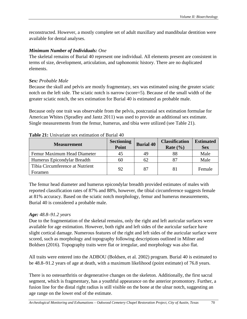reconstructed. However, a mostly complete set of adult maxillary and mandibular dentition were available for dental analyses.

# *Minimum Number of Individuals: One*

The skeletal remains of Burial 40 represent one individual. All elements present are consistent in terms of size, development, articulation, and taphonomic history. There are no duplicated elements.

# *Sex: Probable Male*

Because the skull and pelvis are mostly fragmentary, sex was estimated using the greater sciatic notch on the left side. The sciatic notch is narrow (score=5). Because of the small width of the greater sciatic notch, the sex estimation for Burial 40 is estimated as probable male.

Because only one trait was observable from the pelvis, postcranial sex estimation formulae for American Whites (Spradley and Jantz 2011) was used to provide an additional sex estimate. Single measurements from the femur, humerus, and tibia were utilized (see Table 21).

| <b>Measurement</b>                         | <b>Sectioning</b><br>Point | <b>Burial 40</b> | <b>Classification</b><br>Rate $(\% )$ | <b>Estimated</b><br><b>Sex</b> |
|--------------------------------------------|----------------------------|------------------|---------------------------------------|--------------------------------|
| Femur Maximum Head Diameter                | 45                         | 49               | 88                                    | Male                           |
| Humerus Epicondylar Breadth                | 60                         | 62               |                                       | Male                           |
| Tibia Circumference at Nutrient<br>Foramen | 92                         | 87               | 81                                    | Female                         |

# **Table 21:** Univariate sex estimation of Burial 40

The femur head diameter and humerus epicondylar breadth provided estimates of males with reported classification rates of 87% and 88%, however, the tibial circumference suggests female at 81% accuracy. Based on the sciatic notch morphology, femur and humerus measurements, Burial 40 is considered a probable male.

# *Age: 48.8–91.2 years*

Due to the fragmentation of the skeletal remains, only the right and left auricular surfaces were available for age estimation. However, both right and left sides of the auricular surface have slight cortical damage. Numerous features of the right and left sides of the auricular surface were scored, such as morphology and topography following descriptions outlined in Milner and Boldsen (2016). Topography traits were flat or irregular, and morphology was also flat.

All traits were entered into the ADBOU (Boldsen, et al*.* 2002) program. Burial 40 is estimated to be 48.8–91.2 years of age at death, with a maximum likelihood (point estimate) of 76.8 years.

There is no osteoarthritis or degenerative changes on the skeleton. Additionally, the first sacral segment, which is fragmentary, has a youthful appearance on the anterior promontory. Further, a fusion line for the distal right radius is still visible on the bone at the ulnar notch, suggesting an age range on the lower end of the estimate.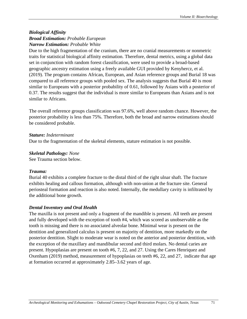# *Biological Affinity Broad Estimation: Probable European Narrow Estimation: Probable White*

Due to the high fragmentation of the cranium, there are no cranial measurements or nonmetric traits for statistical biological affinity estimation. Therefore, dental metrics, using a global data set in conjunction with random forest classification, were used to provide a broad-based geographic ancestry estimation using a freely available GUI provided by Kenyhercz, et al. (2019). The program contains African, European, and Asian reference groups and Burial 18 was compared to all reference groups with pooled sex. The analysis suggests that Burial 40 is most similar to Europeans with a posterior probability of 0.61, followed by Asians with a posterior of 0.37. The results suggest that the individual is more similar to Europeans than Asians and is not similar to Africans.

The overall reference groups classification was 97.6%, well above random chance. However, the posterior probability is less than 75%. Therefore, both the broad and narrow estimations should be considered probable.

## *Stature: Indeterminant*

Due to the fragmentation of the skeletal elements, stature estimation is not possible.

#### *Skeletal Pathology: None*

See Trauma section below.

## *Trauma:*

Burial 40 exhibits a complete fracture to the distal third of the right ulnar shaft. The fracture exhibits healing and callous formation, although with non-union at the fracture site. General periosteal formation and reaction is also noted. Internally, the medullary cavity is infiltrated by the additional bone growth.

#### *Dental Inventory and Oral Health*

The maxilla is not present and only a fragment of the mandible is present. All teeth are present and fully developed with the exception of tooth #4, which was scored as unobservable as the tooth is missing and there is no associated alveolar bone. Minimal wear is present on the dentition and generalized calculus is present on majority of dentition, more markedly on the posterior dentition. Slight to moderate wear is noted on the anterior and posterior dentition, with the exception of the maxillary and mandibular second and third molars. No dental caries are present. Hypoplasias are present on tooth #6, 7, 22, and 27. Using the Cares Henriquez and Oxenham (2019) method, measurement of hypoplasias on teeth #6, 22, and 27, indicate that age at formation occurred at approximately 2.85–3.62 years of age.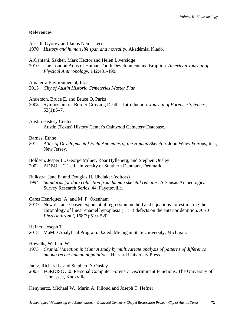## **References**

Acsádi, Gyorgy and János Nemeskéri

1970 *History and human life span and mortality*. Akadémiai Kiadó.

AlQahtani, Sakher, Mark Hector and Helen Liversidge

2010 The London Atlas of Human Tooth Development and Eruption. *American Journal of Physical Anthropology.* 142:481-490.

Amaterra Envrionmental, Inc.

2015 *City of Austin Historic Cemeteries Master Plan*.

Anderson, Bruce E. and Bruce O. Parks

- 2008 Symposium on Border Crossing Deaths: Introduction. *Journal of Forensic Sciences,*  $53(1):6-7.$
- Austin History Center Austin (Texas) History Center's Oakwood Cemetery Database.

# Barnes, Ethne

2012 *Atlas of Developmental Field Anomales of the Human Skeleton*. John Wiley & Sons, Inc., New Jersey.

Boldsen, Jesper L., George Milner, Roar Hylleberg, and Stephen Ousley 2002 ADBOU. 2.1 ed. University of Southern Denmark, Denmark.

## Buikstra, Jane E. and Douglas H. Ubelaker (editors)

1994 *Standards for data collection from human skeletal remains*. Arkansas Archeological Survey Research Series, 44. Fayetteville.

# Cares Henriquez, A. and M. F. Oxenham

2019 New distance-based exponential regression method and equations for estimating the chronology of linear enamel hypoplasia (LEH) defects on the anterior dentition. *Am J Phys Anthropol,* 168(3):510–520.

# Hefner, Joseph T

2018 MaMD Analytical Program. 0.2 ed. Michigan State University, Michigan.

# Howells, William W.

1973 *Cranial Variation in Man: A study by multivariate analysis of patterns of difference among recent human populations*. Harvard University Press.

## Jantz, Richard L. and Stephen D. Ousley

2005 FORDISC 3.0: Personal Computer Forensic Discriminant Functions. The University of Tennessee, Knoxville.

Kenyhercz, Michael W., Marin A. Pilloud and Joseph T. Hefner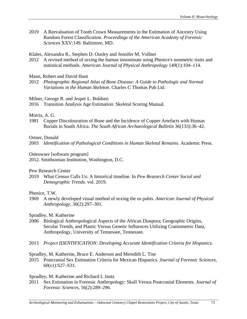- 2019 A Reevaluation of Tooth Crown Measurements in the Estimation of Ancestry Using Random Forest Classification*. Proceedings of the American Academy of Forensic Sciences* XXV:149. Baltimore, MD.
- Klales, Alexandra R., Stephen D. Ousley and Jennifer M. Vollner
- 2012 A revised method of sexing the human innominate using Phenice's nonmetric traits and statistical methods. *American Journal of Physical Anthropology* 149(1):104–114.
- Mann, Robert and David Hunt
- 2012 *Photographic Regional Atlas of Bone Disease: A Guide to Pathologic and Normal Variations in the Human Skeleton*. Charles C Thomas Pub Ltd.

Milner, George R. and Jesper L. Boldsen

2016 Transition Analysis Age Estimation: Skeletal Scoring Manual.

#### Morris, A. G.

1981 Copper Discolouration of Bone and the Incidence of Copper Artefacts with Human Burials in South Africa. *The South African Archaeological Bulletin* 36(133):36–42.

#### Ortner, Donald

2003 *Identification of Pathological Conditions in Human Skeletal Remains*. Academic Press.

Osteoware [software program]

2012. Smithsonian Institution, Washington, D.C.

Pew Research Center

2019 What Census Calls Us: A historical timeline*.* In *Pew Research Center Social and Demographic Trends*. vol. 2019.

## Phenice, T.W.

1969 A newly developed visual method of sexing the os pubis. *American Journal of Physical Anthropology,* 30(2):297–301.

## Spradley, M. Katherine

- 2006 Biological Anthropological Aspects of the African Diaspora; Geographic Origins, Secular Trends, and Plastic Versus Genetic Influences Utilizing Craniometric Data, Anthropology, University of Tennessee, Tennessee.
- 2013 *Project IDENTIFICATION: Developing Accurate Identification Criteria for Hispanics*.

#### Spradley, M. Katherine, Bruce E. Anderson and Meredith L. Tise

2015 Postcranial Sex Estimation Criteria for Mexican Hispanics. *Journal of Forensic Sciences,* 60(s1):S27–S31.

## Spradley, M. Katherine and Richard L Jantz

2011 Sex Estimation in Forensic Anthropology: Skull Versus Postcranial Elements. *Journal of Forensic Sciences,* 56(2):289–296.